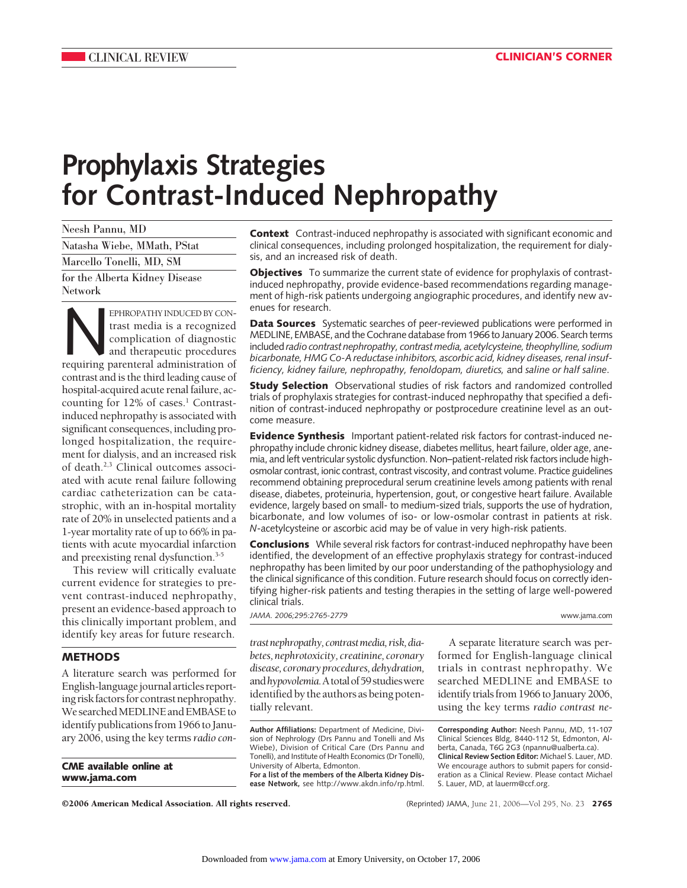# **Prophylaxis Strategies for Contrast-Induced Nephropathy**

Neesh Pannu, MD Natasha Wiebe, MMath, PStat Marcello Tonelli, MD, SM for the Alberta Kidney Disease Network

EPHROPATHY INDUCED BY CON-<br>trast media is a recognized<br>complication of diagnostic<br>requiring parenteral administration of trast media is a recognized complication of diagnostic and therapeutic procedures contrast and is the third leading cause of hospital-acquired acute renal failure, accounting for  $12\%$  of cases.<sup>1</sup> Contrastinduced nephropathy is associated with significant consequences, including prolonged hospitalization, the requirement for dialysis, and an increased risk of death.2,3 Clinical outcomes associated with acute renal failure following cardiac catheterization can be catastrophic, with an in-hospital mortality rate of 20% in unselected patients and a 1-year mortality rate of up to 66% in patients with acute myocardial infarction and preexisting renal dysfunction.<sup>3-5</sup>

This review will critically evaluate current evidence for strategies to prevent contrast-induced nephropathy, present an evidence-based approach to this clinically important problem, and identify key areas for future research.

## **METHODS**

A literature search was performed for English-language journal articles reporting risk factors for contrast nephropathy. We searched MEDLINE and EMBASE to identify publications from 1966 to January 2006, using the key terms*radio con-*

**CME available online at www.jama.com**

**Context** Contrast-induced nephropathy is associated with significant economic and clinical consequences, including prolonged hospitalization, the requirement for dialysis, and an increased risk of death.

**Objectives** To summarize the current state of evidence for prophylaxis of contrastinduced nephropathy, provide evidence-based recommendations regarding management of high-risk patients undergoing angiographic procedures, and identify new avenues for research.

**Data Sources** Systematic searches of peer-reviewed publications were performed in MEDLINE, EMBASE, and the Cochrane database from 1966 to January 2006. Search terms included*radio contrast nephropathy, contrast media, acetylcysteine, theophylline, sodium bicarbonate, HMG Co-A reductase inhibitors, ascorbic acid, kidney diseases, renal insufficiency, kidney failure, nephropathy, fenoldopam, diuretics,* and *saline or half saline*.

**Study Selection** Observational studies of risk factors and randomized controlled trials of prophylaxis strategies for contrast-induced nephropathy that specified a definition of contrast-induced nephropathy or postprocedure creatinine level as an outcome measure.

**Evidence Synthesis** Important patient-related risk factors for contrast-induced nephropathy include chronic kidney disease, diabetes mellitus, heart failure, older age, anemia, and left ventricular systolic dysfunction. Non–patient-related risk factors include highosmolar contrast, ionic contrast, contrast viscosity, and contrast volume. Practice guidelines recommend obtaining preprocedural serum creatinine levels among patients with renal disease, diabetes, proteinuria, hypertension, gout, or congestive heart failure. Available evidence, largely based on small- to medium-sized trials, supports the use of hydration, bicarbonate, and low volumes of iso- or low-osmolar contrast in patients at risk. *N*-acetylcysteine or ascorbic acid may be of value in very high-risk patients.

**Conclusions** While several risk factors for contrast-induced nephropathy have been identified, the development of an effective prophylaxis strategy for contrast-induced nephropathy has been limited by our poor understanding of the pathophysiology and the clinical significance of this condition. Future research should focus on correctly identifying higher-risk patients and testing therapies in the setting of large well-powered clinical trials.

*JAMA. 2006;295:2765-2779* www.jama.com

*trastnephropathy,contrastmedia,risk,diabetes, nephrotoxicity, creatinine, coronary disease, coronaryprocedures,dehydration,* and*hypovolemia.*Atotalof59studieswere identified by the authors as being potentially relevant.

**Author Affiliations:** Department of Medicine, Division of Nephrology (Drs Pannu and Tonelli and Ms Wiebe), Division of Critical Care (Drs Pannu and Tonelli), and Institute of Health Economics (Dr Tonelli), University of Alberta, Edmonton. **For a list of the members of the Alberta Kidney Dis-**

**ease Network,** see http://www.akdn.info/rp.html.

A separate literature search was performed for English-language clinical trials in contrast nephropathy. We searched MEDLINE and EMBASE to identify trials from 1966 to January 2006, using the key terms *radio contrast ne-*

**Corresponding Author:** Neesh Pannu, MD, 11-107 Clinical Sciences Bldg, 8440-112 St, Edmonton, Alberta, Canada, T6G 2G3 (npannu@ualberta.ca). **Clinical Review Section Editor:** Michael S. Lauer, MD. We encourage authors to submit papers for consideration as a Clinical Review. Please contact Michael S. Lauer, MD, at lauerm@ccf.org.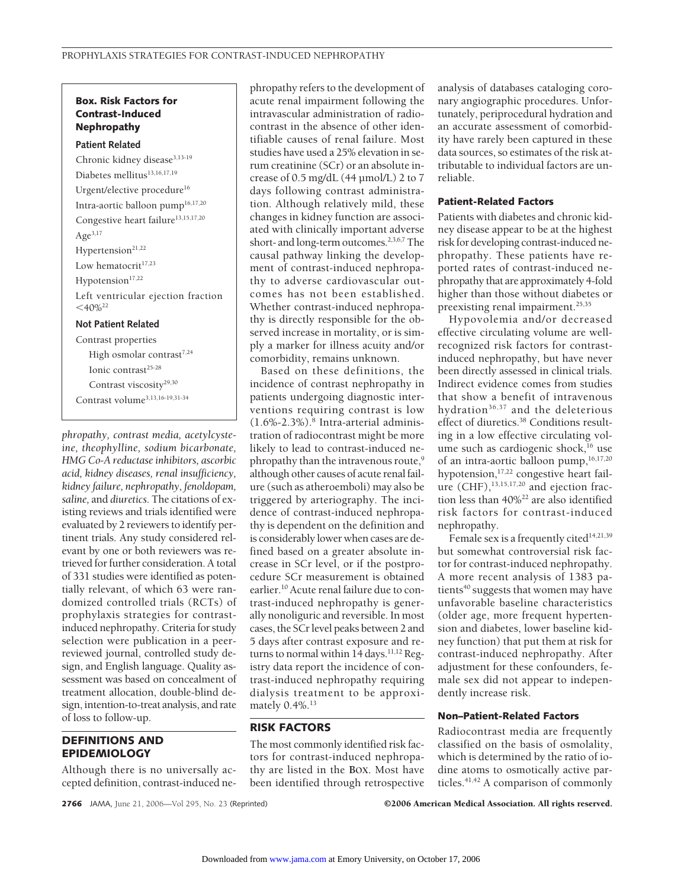# **Box. Risk Factors for Contrast-Induced Nephropathy**

#### **Patient Related**

Chronic kidney disease<sup>3,13-19</sup> Diabetes mellitus<sup>13,16,17,19</sup> Urgent/elective procedure<sup>16</sup> Intra-aortic balloon pump16,17,20 Congestive heart failure<sup>13,15,17,20</sup> Age<sup>3,17</sup> Hypertension $21,22$ Low hematocrit<sup>17,23</sup> Hypotension<sup>17,22</sup> Left ventricular ejection fraction  $<$ 40%<sup>22</sup> **Not Patient Related** Contrast properties High osmolar contrast<sup>7,24</sup> Ionic contrast<sup>25-28</sup> Contrast viscosity<sup>29,30</sup>

Contrast volume3,13,16-19,31-34

*phropathy, contrast media, acetylcysteine, theophylline, sodium bicarbonate, HMG Co-A reductase inhibitors, ascorbic acid, kidney diseases, renal insufficiency, kidney failure, nephropathy, fenoldopam, saline,* and *diuretics.* The citations of existing reviews and trials identified were evaluated by 2 reviewers to identify pertinent trials. Any study considered relevant by one or both reviewers was retrieved for further consideration. A total of 331 studies were identified as potentially relevant, of which 63 were randomized controlled trials (RCTs) of prophylaxis strategies for contrastinduced nephropathy. Criteria for study selection were publication in a peerreviewed journal, controlled study design, and English language. Quality assessment was based on concealment of treatment allocation, double-blind design, intention-to-treat analysis, and rate of loss to follow-up.

# **DEFINITIONS AND EPIDEMIOLOGY**

Although there is no universally accepted definition, contrast-induced nephropathy refers to the development of acute renal impairment following the intravascular administration of radiocontrast in the absence of other identifiable causes of renal failure. Most studies have used a 25% elevation in serum creatinine (SCr) or an absolute increase of 0.5 mg/dL (44 µmol/L) 2 to 7 days following contrast administration. Although relatively mild, these changes in kidney function are associated with clinically important adverse short- and long-term outcomes.<sup>2,3,6,7</sup>The causal pathway linking the development of contrast-induced nephropathy to adverse cardiovascular outcomes has not been established. Whether contrast-induced nephropathy is directly responsible for the observed increase in mortality, or is simply a marker for illness acuity and/or comorbidity, remains unknown.

Based on these definitions, the incidence of contrast nephropathy in patients undergoing diagnostic interventions requiring contrast is low  $(1.6\% - 2.3\%)$ .<sup>8</sup> Intra-arterial administration of radiocontrast might be more likely to lead to contrast-induced nephropathy than the intravenous route,<sup>9</sup> although other causes of acute renal failure (such as atheroemboli) may also be triggered by arteriography. The incidence of contrast-induced nephropathy is dependent on the definition and is considerably lower when cases are defined based on a greater absolute increase in SCr level, or if the postprocedure SCr measurement is obtained earlier.10 Acute renal failure due to contrast-induced nephropathy is generally nonoliguric and reversible. In most cases, the SCr level peaks between 2 and 5 days after contrast exposure and returns to normal within  $14$  days.<sup>11,12</sup> Registry data report the incidence of contrast-induced nephropathy requiring dialysis treatment to be approximately 0.4%.<sup>13</sup>

## **RISK FACTORS**

The most commonly identified risk factors for contrast-induced nephropathy are listed in the **BOX**. Most have been identified through retrospective analysis of databases cataloging coronary angiographic procedures. Unfortunately, periprocedural hydration and an accurate assessment of comorbidity have rarely been captured in these data sources, so estimates of the risk attributable to individual factors are unreliable.

## **Patient-Related Factors**

Patients with diabetes and chronic kidney disease appear to be at the highest risk for developing contrast-induced nephropathy. These patients have reported rates of contrast-induced nephropathy that are approximately 4-fold higher than those without diabetes or preexisting renal impairment.<sup>25,35</sup>

Hypovolemia and/or decreased effective circulating volume are wellrecognized risk factors for contrastinduced nephropathy, but have never been directly assessed in clinical trials. Indirect evidence comes from studies that show a benefit of intravenous hvdration<sup>36,37</sup> and the deleterious effect of diuretics.<sup>38</sup> Conditions resulting in a low effective circulating volume such as cardiogenic shock, $^{16}$  use of an intra-aortic balloon pump,<sup>16,17,20</sup> hypotension,<sup>17,22</sup> congestive heart failure  $(CHF)$ ,<sup>13,15,17,20</sup> and ejection fraction less than 40%22 are also identified risk factors for contrast-induced nephropathy.

Female sex is a frequently cited $14,21,39$ but somewhat controversial risk factor for contrast-induced nephropathy. A more recent analysis of 1383 patients<sup>40</sup> suggests that women may have unfavorable baseline characteristics (older age, more frequent hypertension and diabetes, lower baseline kidney function) that put them at risk for contrast-induced nephropathy. After adjustment for these confounders, female sex did not appear to independently increase risk.

## **Non–Patient-Related Factors**

Radiocontrast media are frequently classified on the basis of osmolality, which is determined by the ratio of iodine atoms to osmotically active particles.<sup>41,42</sup> A comparison of commonly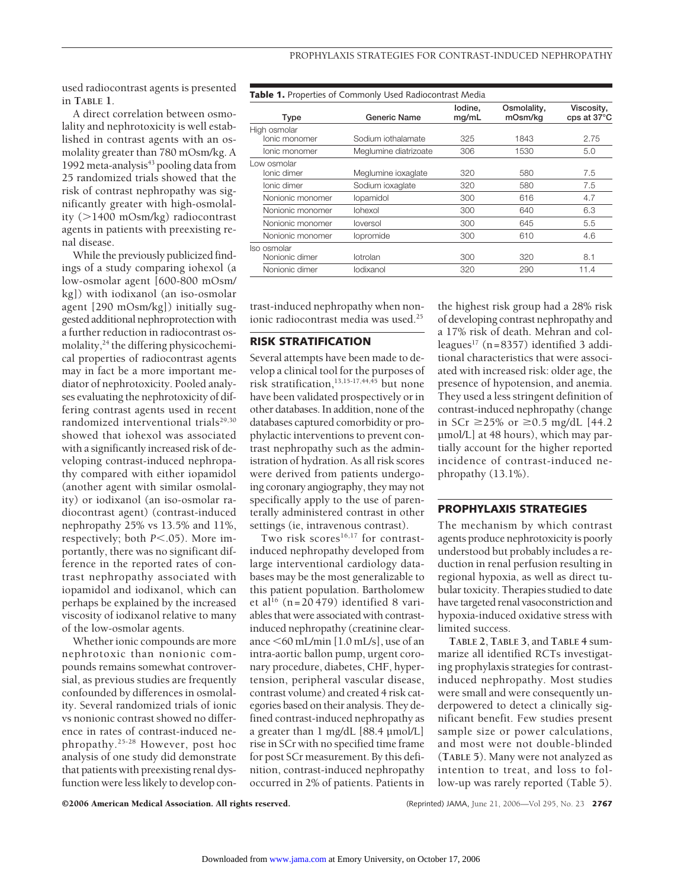used radiocontrast agents is presented in **TABLE 1**.

A direct correlation between osmolality and nephrotoxicity is well established in contrast agents with an osmolality greater than 780 mOsm/kg. A 1992 meta-analysis<sup>43</sup> pooling data from 25 randomized trials showed that the risk of contrast nephropathy was significantly greater with high-osmolality (>1400 mOsm/kg) radiocontrast agents in patients with preexisting renal disease.

While the previously publicized findings of a study comparing iohexol (a low-osmolar agent [600-800 mOsm/ kg]) with iodixanol (an iso-osmolar agent [290 mOsm/kg]) initially suggested additional nephroprotection with a further reduction in radiocontrast osmolality,<sup>24</sup> the differing physicochemical properties of radiocontrast agents may in fact be a more important mediator of nephrotoxicity. Pooled analyses evaluating the nephrotoxicity of differing contrast agents used in recent randomized interventional trials<sup>29,30</sup> showed that iohexol was associated with a significantly increased risk of developing contrast-induced nephropathy compared with either iopamidol (another agent with similar osmolality) or iodixanol (an iso-osmolar radiocontrast agent) (contrast-induced nephropathy 25% vs 13.5% and 11%, respectively; both  $P \le 0.05$ ). More importantly, there was no significant difference in the reported rates of contrast nephropathy associated with iopamidol and iodixanol, which can perhaps be explained by the increased viscosity of iodixanol relative to many of the low-osmolar agents.

Whether ionic compounds are more nephrotoxic than nonionic compounds remains somewhat controversial, as previous studies are frequently confounded by differences in osmolality. Several randomized trials of ionic vs nonionic contrast showed no difference in rates of contrast-induced nephropathy.25-28 However, post hoc analysis of one study did demonstrate that patients with preexisting renal dysfunction were less likely to develop con**Table 1.** Properties of Commonly Used Radiocontrast Media **Type Generic Name Iodine, mg/mL Osmolality, mOsm/kg Viscosity, cps at 37°C** High osmolar Ionic monomer Sodium iothalamate 325 1843 2.75 Ionic monomer Meglumine diatrizoate 306 1530 5.0 Low osmolar<br>Ionic dimer Meglumine ioxaglate 320 580 580 7.5 Ionic dimer Sodium ioxaglate 320 580 7.5 Nonionic monomer Iopamidol 300 616 4.7 Nonionic monomer Iohexol 300 640 6.3 Nonionic monomer Ioversol 300 645 5.5 Nonionic monomer Iopromide 300 610 4.6 Iso osmolar Nonionic dimer Iotrolan 100 300 320 8.1 Nonionic dimer Iodixanol 10.4 and 320 290 11.4

trast-induced nephropathy when nonionic radiocontrast media was used.<sup>25</sup>

# **RISK STRATIFICATION**

Several attempts have been made to develop a clinical tool for the purposes of risk stratification,13,15-17,44,45 but none have been validated prospectively or in other databases. In addition, none of the databases captured comorbidity or prophylactic interventions to prevent contrast nephropathy such as the administration of hydration. As all risk scores were derived from patients undergoing coronary angiography, they may not specifically apply to the use of parenterally administered contrast in other settings (ie, intravenous contrast).

Two risk scores<sup>16,17</sup> for contrastinduced nephropathy developed from large interventional cardiology databases may be the most generalizable to this patient population. Bartholomew et al<sup>16</sup> (n=20 479) identified 8 variables that were associated with contrastinduced nephropathy (creatinine clearance  $\leq 60$  mL/min [1.0 mL/s], use of an intra-aortic ballon pump, urgent coronary procedure, diabetes, CHF, hypertension, peripheral vascular disease, contrast volume) and created 4 risk categories based on their analysis. They defined contrast-induced nephropathy as a greater than 1 mg/dL [88.4 µmol/L] rise in SCr with no specified time frame for post SCr measurement. By this definition, contrast-induced nephropathy occurred in 2% of patients. Patients in

the highest risk group had a 28% risk of developing contrast nephropathy and a 17% risk of death. Mehran and colleagues<sup>17</sup> (n=8357) identified 3 additional characteristics that were associated with increased risk: older age, the presence of hypotension, and anemia. They used a less stringent definition of contrast-induced nephropathy (change in SCr  $\geq$  25% or  $\geq$  0.5 mg/dL [44.2 µmol/L] at 48 hours), which may partially account for the higher reported incidence of contrast-induced nephropathy (13.1%).

## **PROPHYLAXIS STRATEGIES**

The mechanism by which contrast agents produce nephrotoxicity is poorly understood but probably includes a reduction in renal perfusion resulting in regional hypoxia, as well as direct tubular toxicity. Therapies studied to date have targeted renal vasoconstriction and hypoxia-induced oxidative stress with limited success.

**TABLE 2**, **TABLE 3**, and **TABLE 4** summarize all identified RCTs investigating prophylaxis strategies for contrastinduced nephropathy. Most studies were small and were consequently underpowered to detect a clinically significant benefit. Few studies present sample size or power calculations, and most were not double-blinded (**TABLE 5**). Many were not analyzed as intention to treat, and loss to follow-up was rarely reported (Table 5).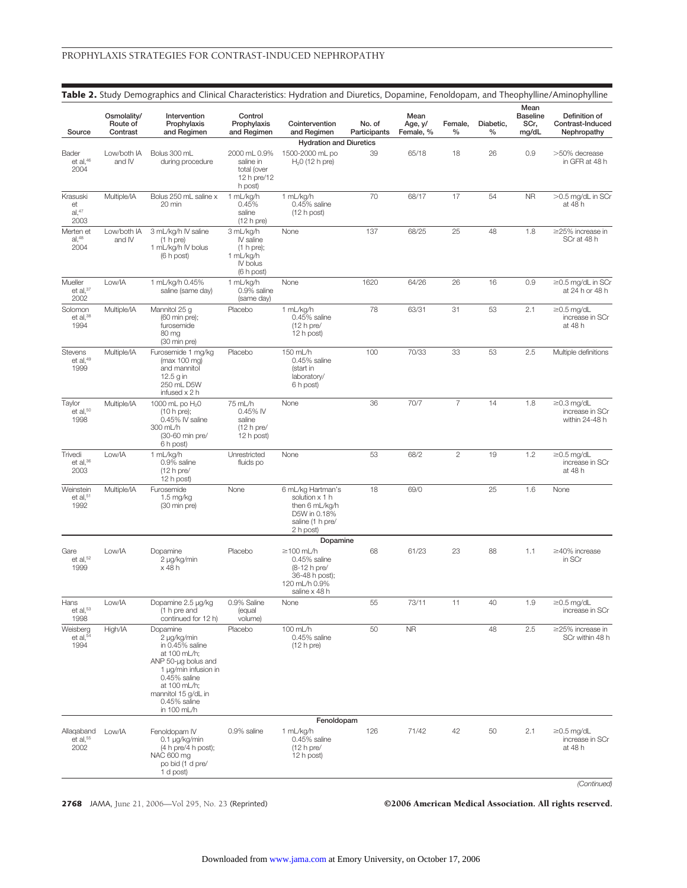|                                       |                                     |                                                                                                                                                                                                 |                                                                             |                                                                                                           |                        |                              |                 |                   | Mean                             |                                                       |
|---------------------------------------|-------------------------------------|-------------------------------------------------------------------------------------------------------------------------------------------------------------------------------------------------|-----------------------------------------------------------------------------|-----------------------------------------------------------------------------------------------------------|------------------------|------------------------------|-----------------|-------------------|----------------------------------|-------------------------------------------------------|
| Source                                | Osmolality/<br>Route of<br>Contrast | Intervention<br>Prophylaxis<br>and Regimen                                                                                                                                                      | Control<br>Prophylaxis<br>and Regimen                                       | Cointervention<br>and Regimen                                                                             | No. of<br>Participants | Mean<br>Age, y/<br>Female, % | Female,<br>$\%$ | Diabetic,<br>$\%$ | <b>Baseline</b><br>SCr,<br>mg/dL | Definition of<br>Contrast-Induced<br>Nephropathy      |
|                                       |                                     |                                                                                                                                                                                                 |                                                                             | <b>Hydration and Diuretics</b>                                                                            |                        |                              |                 |                   |                                  |                                                       |
| Bader<br>et al, $46$<br>2004          | Low/both IA<br>and IV               | Bolus 300 mL<br>during procedure                                                                                                                                                                | 2000 mL 0.9%<br>saline in<br>total (over<br>12 h pre/12<br>h post)          | 1500-2000 mL po<br>$H20$ (12 h pre)                                                                       | 39                     | 65/18                        | 18              | 26                | 0.9                              | >50% decrease<br>in GFR at 48 h                       |
| Krasuski<br>et<br>al.47<br>2003       | Multiple/IA                         | Bolus 250 mL saline x<br>20 min                                                                                                                                                                 | 1 mL/kg/h<br>0.45%<br>saline<br>$(12 h)$ pre)                               | 1 mL/kg/h<br>0.45% saline<br>(12 h post)                                                                  | 70                     | 68/17                        | 17              | 54                | <b>NR</b>                        | >0.5 mg/dL in SCr<br>at 48 h                          |
| Merten et<br>al <sup>48</sup><br>2004 | Low/both IA<br>and IV               | 3 mL/kg/h IV saline<br>(1 h pre)<br>1 mL/kg/h IV bolus<br>(6 h post)                                                                                                                            | 3 mL/kg/h<br>IV saline<br>(1 h pre);<br>1 mL/kg/h<br>IV bolus<br>(6 h post) | None                                                                                                      | 137                    | 68/25                        | 25              | 48                | 1.8                              | $\geq$ 25% increase in<br>SCr at 48 h                 |
| Mueller<br>et al, $^{\rm 37}$<br>2002 | Low/IA                              | 1 mL/kg/h 0.45%<br>saline (same day)                                                                                                                                                            | 1 mL/kg/h<br>0.9% saline<br>(same day)                                      | None                                                                                                      | 1620                   | 64/26                        | 26              | 16                | 0.9                              | $\geq$ 0.5 mg/dL in SCr<br>at 24 h or 48 h            |
| Solomon<br>et al, $38$<br>1994        | Multiple/IA                         | Mannitol 25 g<br>(60 min pre);<br>furosemide<br>80 mg<br>(30 min pre)                                                                                                                           | Placebo                                                                     | 1 mL/kg/h<br>0.45% saline<br>$(12 h)$ pre/<br>12 h post)                                                  | 78                     | 63/31                        | 31              | 53                | 2.1                              | $\geq$ 0.5 mg/dL<br>increase in SCr<br>at 48 h        |
| Stevens<br>$et$ al, $49$<br>1999      | Multiple/IA                         | Furosemide 1 mg/kg<br>(max 100 mg)<br>and mannitol<br>12.5 g in<br>250 mL D5W<br>infused x 2 h                                                                                                  | Placebo                                                                     | 150 mL/h<br>0.45% saline<br>(start in<br>laboratory/<br>6 h post)                                         | 100                    | 70/33                        | 33              | 53                | 2.5                              | Multiple definitions                                  |
| Taylor<br>$et$ al, $50$<br>1998       | Multiple/IA                         | 1000 mL po H <sub>2</sub> 0<br>(10 h pre);<br>0.45% IV saline<br>300 mL/h<br>(30-60 min pre/<br>6 h post)                                                                                       | 75 mL/h<br>0.45% IV<br>saline<br>$(12 h)$ pre/<br>12 h post)                | None                                                                                                      | 36                     | 70/7                         | $\overline{7}$  | 14                | 1.8                              | $\geq$ 0.3 mg/dL<br>increase in SCr<br>within 24-48 h |
| Trivedi<br>et al, $36$<br>2003        | Low/IA                              | 1 mL/kg/h<br>0.9% saline<br>$(12 h)$ pre/<br>12 h post)                                                                                                                                         | Unrestricted<br>fluids po                                                   | None                                                                                                      | 53                     | 68/2                         | $\mathbf{2}$    | 19                | 1.2                              | $\geq$ 0.5 mg/dL<br>increase in SCr<br>at 48 h        |
| Weinstein<br>et al, $51$<br>1992      | Multiple/IA                         | Furosemide<br>1.5 mg/kg<br>(30 min pre)                                                                                                                                                         | None                                                                        | 6 mL/kg Hartman's<br>solution x 1 h<br>then 6 mL/kg/h<br>D5W in 0.18%<br>saline (1 h pre/<br>2 h post)    | 18                     | 69/0                         |                 | 25                | 1.6                              | None                                                  |
| Gare<br>et al, $52$<br>1999           | Low/IA                              | Dopamine<br>2 µg/kg/min<br>x 48 h                                                                                                                                                               | Placebo                                                                     | Dopamine<br>≥100 mL/h<br>0.45% saline<br>(8-12 h pre/<br>36-48 h post);<br>120 mL/h 0.9%<br>saline x 48 h | 68                     | 61/23                        | 23              | 88                | 1.1                              | $\geq$ 40% increase<br>in SCr                         |
| Hans<br>et al, $53$<br>1998           | Low/IA                              | Dopamine 2.5 µg/kg<br>(1 h pre and<br>continued for 12 h)                                                                                                                                       | 0.9% Saline<br>(equal<br>volume)                                            | None                                                                                                      | 55                     | 73/11                        | 11              | 40                | 1.9                              | $\geq$ 0.5 mg/dL<br>increase in SCr                   |
| Weisberg<br>et al, $54$<br>1994       | High/IA                             | Dopamine<br>2 µg/kg/min<br>in 0.45% saline<br>at 100 mL/h;<br>ANP 50-µg bolus and<br>1 µg/min infusion in<br>0.45% saline<br>at 100 mL/h;<br>mannitol 15 g/dL in<br>0.45% saline<br>in 100 mL/h | Placebo                                                                     | 100 mL/h<br>$0.45%$ saline<br>$(12 h)$ pre)                                                               | 50                     | <b>NR</b>                    |                 | 48                | 2.5                              | $\geq$ 25% increase in<br>SCr within 48 h             |
|                                       |                                     |                                                                                                                                                                                                 |                                                                             | Fenoldopam                                                                                                |                        |                              |                 |                   |                                  |                                                       |
| Allaqaband<br>et al, $55$<br>2002     | Low/IA                              | Fenoldopam IV<br>0.1 µg/kg/min<br>(4 h pre/4 h post);<br>NAC 600 mg<br>po bid (1 d pre/<br>1 d post)                                                                                            | 0.9% saline                                                                 | 1 mL/kg/h<br>0.45% saline<br>$(12 h)$ pre/<br>12 h post)                                                  | 126                    | 71/42                        | 42              | 50                | 2.1                              | $\geq$ 0.5 mg/dL<br>increase in SCr<br>at 48 h        |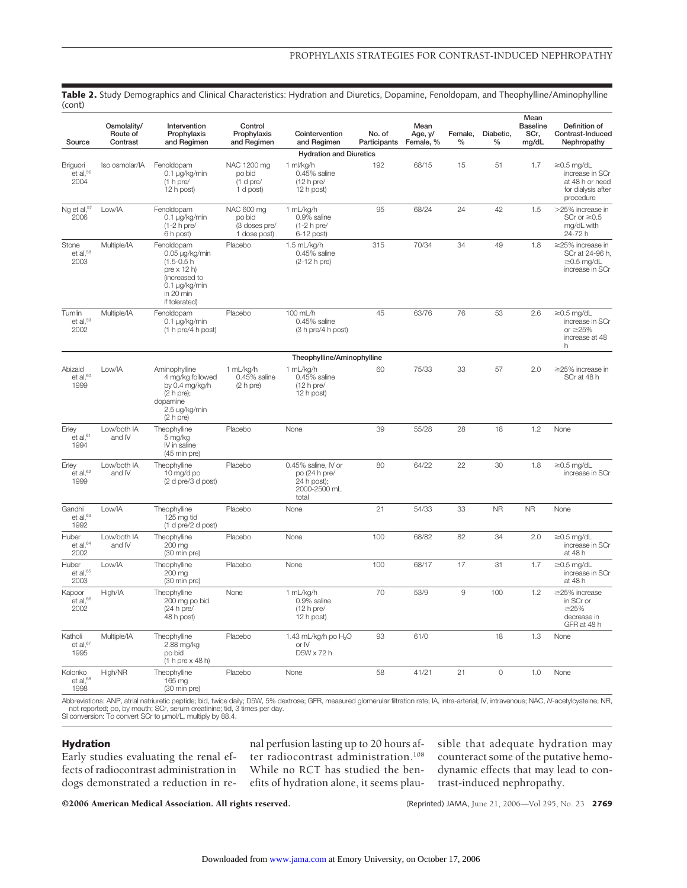| , <del>.</del> <i>.</i><br>Source       | Osmolality/<br>Route of<br>Contrast | Intervention<br>Prophylaxis<br>and Regimen                                                                                   | Control<br>Prophylaxis<br>and Regimen                 | Cointervention<br>and Regimen                                                | No. of<br>Participants | Mean<br>Age, y/<br>Female, % | Female,<br>$\frac{0}{0}$ | Diabetic,<br>$\frac{0}{0}$ | Mean<br><b>Baseline</b><br>SCr,<br>mg/dL | Definition of<br>Contrast-Induced<br>Nephropathy                                          |
|-----------------------------------------|-------------------------------------|------------------------------------------------------------------------------------------------------------------------------|-------------------------------------------------------|------------------------------------------------------------------------------|------------------------|------------------------------|--------------------------|----------------------------|------------------------------------------|-------------------------------------------------------------------------------------------|
|                                         |                                     |                                                                                                                              |                                                       | <b>Hydration and Diuretics</b>                                               |                        |                              |                          |                            |                                          |                                                                                           |
| Briguori<br>et al, $56$<br>2004         | Iso osmolar/IA                      | Fenoldopam<br>0.1 µg/kg/min<br>$(1 h)$ pre/<br>12 h post)                                                                    | NAC 1200 mg<br>po bid<br>(1 d pre/<br>1 d post)       | 1 ml/kg/h<br>0.45% saline<br>(12 h pre/<br>12 h post)                        | 192                    | 68/15                        | 15                       | 51                         | 1.7                                      | $\geq$ 0.5 mg/dL<br>increase in SCr<br>at 48 h or need<br>for dialysis after<br>procedure |
| Ng et al, <sup>57</sup><br>2006         | Low/IA                              | Fenoldopam<br>$0.1 \mu q/kg/min$<br>$(1-2 h)$ pre/<br>6 h post)                                                              | NAC 600 mg<br>po bid<br>(3 doses pre/<br>1 dose post) | 1 mL/kg/h<br>0.9% saline<br>$(1-2 h)$ pre/<br>6-12 post)                     | 95                     | 68/24                        | 24                       | 42                         | 1.5                                      | >25% increase in<br>SCr or $\geq 0.5$<br>mg/dL with<br>24-72 h                            |
| Stone<br>$et$ al. $58$<br>2003          | Multiple/IA                         | Fenoldopam<br>0.05 µg/kg/min<br>$(1.5 - 0.5)$<br>pre x 12 h)<br>(increased to<br>0.1 µg/kg/min<br>in 20 min<br>if tolerated) | Placebo                                               | 1.5 mL/ka/h<br>0.45% saline<br>(2-12 h pre)                                  | 315                    | 70/34                        | 34                       | 49                         | 1.8                                      | $\geq$ 25% increase in<br>SCr at 24-96 h.<br>$\geq$ 0.5 mg/dL<br>increase in SCr          |
| Tumlin<br>et al, <sup>59</sup><br>2002  | Multiple/IA                         | Fenoldopam<br>0.1 µg/kg/min<br>(1 h pre/4 h post)                                                                            | Placebo                                               | 100 mL/h<br>0.45% saline<br>(3 h pre/4 h post)                               | 45                     | 63/76                        | 76                       | 53                         | 2.6                                      | $\geq$ 0.5 mg/dL<br>increase in SCr<br>or $\geq$ 25%<br>increase at 48<br>h               |
|                                         |                                     |                                                                                                                              |                                                       | Theophylline/Aminophylline                                                   |                        |                              |                          |                            |                                          |                                                                                           |
| Abizaid<br>et al, <sup>60</sup><br>1999 | Low/IA                              | Aminophylline<br>4 mg/kg followed<br>by 0.4 mg/kg/h<br>(2 h pre);<br>dopamine<br>2.5 ug/kg/min<br>(2 h pre)                  | 1 mL/kg/h<br>0.45% saline<br>(2 h pre)                | 1 mL/kg/h<br>0.45% saline<br>$(12 h)$ pre/<br>12 h post)                     | 60                     | 75/33                        | 33                       | 57                         | 2.0                                      | $\geq$ 25% increase in<br>SCr at 48 h                                                     |
| Erley<br>et al, $61$<br>1994            | Low/both IA<br>and IV               | Theophylline<br>5 mg/kg<br>IV in saline<br>(45 min pre)                                                                      | Placebo                                               | None                                                                         | 39                     | 55/28                        | 28                       | 18                         | 1.2                                      | None                                                                                      |
| Erley<br>et al, 62<br>1999              | Low/both IA<br>and IV               | Theophylline<br>10 mg/d po<br>(2 d pre/3 d post)                                                                             | Placebo                                               | 0.45% saline, IV or<br>po (24 h pre/<br>24 h post);<br>2000-2500 mL<br>total | 80                     | 64/22                        | 22                       | 30                         | 1.8                                      | $\geq$ 0.5 mg/dL<br>increase in SCr                                                       |
| Gandhi<br>et al, $^{63}$<br>1992        | Low/IA                              | Theophylline<br>125 mg tid<br>(1 d pre/2 d post)                                                                             | Placebo                                               | None                                                                         | 21                     | 54/33                        | 33                       | <b>NR</b>                  | <b>NR</b>                                | None                                                                                      |
| Huber<br>et al, $^{64}$<br>2002         | Low/both IA<br>and IV               | Theophylline<br>200 mg<br>(30 min pre)                                                                                       | Placebo                                               | None                                                                         | 100                    | 68/82                        | 82                       | 34                         | 2.0                                      | $\geq$ 0.5 mg/dL<br>increase in SCr<br>at 48 h                                            |
| Huber<br>et al, 65<br>2003              | Low/IA                              | Theophylline<br>200 mg<br>(30 min pre)                                                                                       | Placebo                                               | None                                                                         | 100                    | 68/17                        | 17                       | 31                         | 1.7                                      | $\geq$ 0.5 mg/dL<br>increase in SCr<br>at 48 h                                            |
| Kapoor<br>et al, 66<br>2002             | High/IA                             | Theophylline<br>200 mg po bid<br>$(24 h)$ pre/<br>48 h post)                                                                 | None                                                  | 1 mL/kg/h<br>0.9% saline<br>$(12 h)$ pre/<br>12 h post)                      | 70                     | 53/9                         | 9                        | 100                        | 1.2                                      | $\geq$ 25% increase<br>in SCr or<br>$\geq$ 25%<br>decrease in<br>GFR at 48 h              |
| Katholi<br>et al, $67$<br>1995          | Multiple/IA                         | Theophylline<br>2.88 mg/kg<br>po bid<br>(1 h pre x 48 h)                                                                     | Placebo                                               | 1.43 mL/kg/h po H <sub>2</sub> O<br>or IV<br>D5W x 72 h                      | 93                     | 61/0                         |                          | 18                         | 1.3                                      | None                                                                                      |
| Kolonko<br>$et$ al. $68$<br>1998        | High/NR                             | Theophylline<br>165 mg<br>(30 min pre)                                                                                       | Placebo                                               | None                                                                         | 58                     | 41/21                        | 21                       | $\mathsf{O}\xspace$        | 1.0                                      | None                                                                                      |

**Table 2.** Study Demographics and Clinical Characteristics: Hydration and Diuretics, Dopamine, Fenoldopam, and Theophylline/Aminophylline (cont)

Abbreviations: ANP, atrial natriuretic peptide; bid, twice daily; D5W, 5% dextrose; GFR, measured glomerular filtration rate; IA, intra-arterial; IV, intravenous; NAC, *N*-acetylcysteine; NR, not reported; po, by mouth; SCr, serum creatinine; tid, 3 times per day. SI conversion: To convert SCr to µmol/L, multiply by 88.4.

#### **Hydration**

Early studies evaluating the renal effects of radiocontrast administration in dogs demonstrated a reduction in renal perfusion lasting up to 20 hours after radiocontrast administration.108 While no RCT has studied the benefits of hydration alone, it seems plausible that adequate hydration may counteract some of the putative hemodynamic effects that may lead to contrast-induced nephropathy.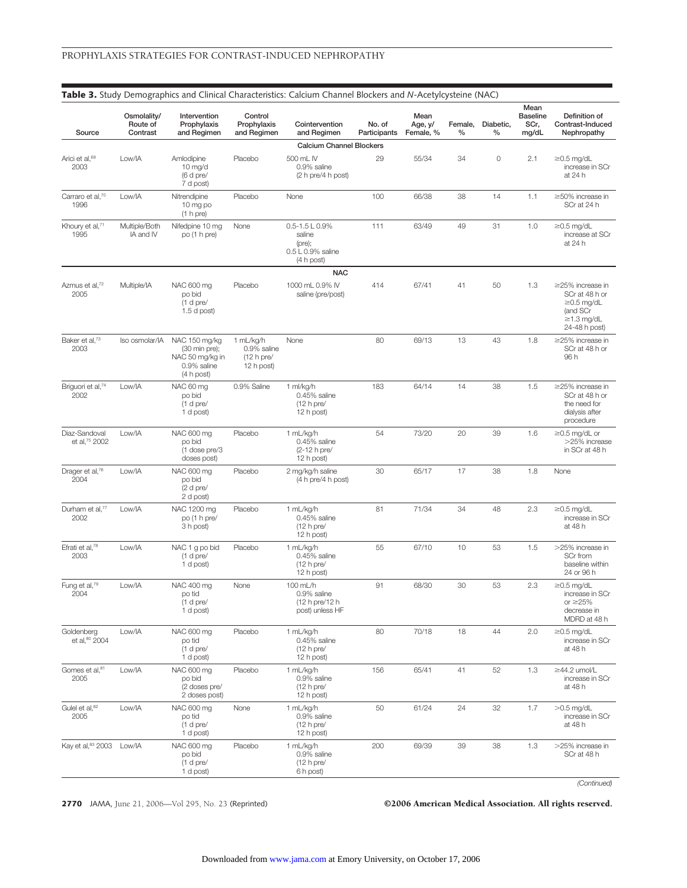| Source                                | Osmolality/<br>Route of<br>Contrast | Intervention<br>Prophylaxis<br>and Regimen                                     | Control<br>Prophylaxis<br>and Regimen                   | Cointervention<br>and Regimen                                                     | No. of<br>Participants | Mean<br>Age, y/<br>Female, % | Female,<br>% | Diabetic,<br>%      | Mean<br><b>Baseline</b><br>SCr,<br>mg/dL | Definition of<br>Contrast-Induced<br>Nephropathy                                                              |
|---------------------------------------|-------------------------------------|--------------------------------------------------------------------------------|---------------------------------------------------------|-----------------------------------------------------------------------------------|------------------------|------------------------------|--------------|---------------------|------------------------------------------|---------------------------------------------------------------------------------------------------------------|
|                                       |                                     |                                                                                |                                                         | <b>Calcium Channel Blockers</b>                                                   |                        |                              |              |                     |                                          |                                                                                                               |
| Arici et al, <sup>69</sup><br>2003    | Low/IA                              | Amlodipine<br>$10$ mg/d<br>(6 d pre/<br>7 d post)                              | Placebo                                                 | 500 mL IV<br>0.9% saline<br>(2 h pre/4 h post)                                    | 29                     | 55/34                        | 34           | $\mathsf{O}\xspace$ | 2.1                                      | ≥0.5 mg/dL<br>increase in SCr<br>at 24 h                                                                      |
| Carraro et al,70<br>1996              | Low/IA                              | Nitrendipine<br>10 mg po<br>(1 h pre)                                          | Placebo                                                 | None                                                                              | 100                    | 66/38                        | 38           | 14                  | 1.1                                      | $\geq$ 50% increase in<br>SCr at 24 h                                                                         |
| Khoury et al, <sup>71</sup><br>1995   | Multiple/Both<br>IA and IV          | Nifedpine 10 mg<br>po (1 h pre)                                                | None                                                    | $0.5 - 1.5 \text{ L}$ 0.9%<br>saline<br>(pre);<br>0.5 L 0.9% saline<br>(4 h post) | 111                    | 63/49                        | 49           | 31                  | 1.0                                      | $\geq$ 0.5 mg/dL<br>increase at SCr<br>at 24 h                                                                |
|                                       |                                     |                                                                                |                                                         | <b>NAC</b>                                                                        |                        |                              |              |                     |                                          |                                                                                                               |
| Azmus et al, <sup>72</sup><br>2005    | Multiple/IA                         | NAC 600 mg<br>po bid<br>$(1$ d pre/<br>$1.5$ d post)                           | Placebo                                                 | 1000 mL 0.9% IV<br>saline (pre/post)                                              | 414                    | 67/41                        | 41           | 50                  | 1.3                                      | $\geq$ 25% increase in<br>SCr at 48 h or<br>$\geq$ 0.5 mg/dL<br>(and SCr<br>$\geq$ 1.3 mg/dL<br>24-48 h post) |
| Baker et al, <sup>73</sup><br>2003    | Iso osmolar/IA                      | NAC 150 mg/kg<br>(30 min pre);<br>NAC 50 mg/kg in<br>0.9% saline<br>(4 h post) | 1 mL/kg/h<br>0.9% saline<br>$(12 h)$ pre/<br>12 h post) | None                                                                              | 80                     | 69/13                        | 13           | 43                  | 1.8                                      | $\geq$ 25% increase in<br>SCr at 48 h or<br>96 h                                                              |
| Briguori et al, <sup>74</sup><br>2002 | Low/IA                              | NAC 60 mg<br>po bid<br>$(1$ d pre/<br>1 d post)                                | 0.9% Saline                                             | 1 ml/kg/h<br>0.45% saline<br>$(12 h)$ pre/<br>12 h post)                          | 183                    | 64/14                        | 14           | 38                  | 1.5                                      | $\geq$ 25% increase in<br>SCr at 48 h or<br>the need for<br>dialysis after<br>procedure                       |
| Diaz-Sandoval<br>et al, 75 2002       | Low/IA                              | NAC 600 mg<br>po bid<br>(1 dose pre/3<br>doses post)                           | Placebo                                                 | 1 mL/kg/h<br>0.45% saline<br>(2-12 h pre/<br>12 h post)                           | 54                     | 73/20                        | 20           | 39                  | 1.6                                      | $\geq$ 0.5 mg/dL or<br>>25% increase<br>in SCr at 48 h                                                        |
| Drager et al, <sup>76</sup><br>2004   | Low/IA                              | NAC 600 mg<br>po bid<br>$(2 d)$ pre/<br>2 d post)                              | Placebo                                                 | 2 mg/kg/h saline<br>(4 h pre/4 h post)                                            | 30                     | 65/17                        | 17           | 38                  | 1.8                                      | None                                                                                                          |
| Durham et al, <sup>77</sup><br>2002   | Low/IA                              | NAC 1200 mg<br>po (1 h pre/<br>3 h post)                                       | Placebo                                                 | 1 mL/kg/h<br>0.45% saline<br>$(12 h)$ pre/<br>12 h post)                          | 81                     | 71/34                        | 34           | 48                  | 2.3                                      | $\geq$ 0.5 mg/dL<br>increase in SCr<br>at 48 h                                                                |
| Efrati et al, <sup>78</sup><br>2003   | Low/IA                              | NAC 1 g po bid<br>$(1$ d pre/<br>1 d post)                                     | Placebo                                                 | 1 mL/kg/h<br>0.45% saline<br>$(12 h)$ pre/<br>12 h post)                          | 55                     | 67/10                        | 10           | 53                  | 1.5                                      | >25% increase in<br>SCr from<br>baseline within<br>24 or 96 h                                                 |
| Fung et al, <sup>79</sup><br>2004     | Low/IA                              | NAC 400 mg<br>po tid<br>$(1$ d pre/<br>1 d post)                               | None                                                    | 100 mL/h<br>0.9% saline<br>(12 h pre/12 h<br>post) unless HF                      | 91                     | 68/30                        | 30           | 53                  | 2.3                                      | $\geq$ 0.5 mg/dL<br>increase in SCr<br>or $\geq$ 25%<br>decrease in<br>MDRD at 48 h                           |
| Goldenberg<br>et al, 80 2004          | Low/IA                              | NAC 600 mg<br>po tid<br>$(1$ d pre/<br>1 d post)                               | Placebo                                                 | 1 mL/kg/h<br>0.45% saline<br>$(12 h)$ pre/<br>12 h post)                          | 80                     | 70/18                        | 18           | 44                  | 2.0                                      | $\geq$ 0.5 mg/dL<br>increase in SCr<br>at 48 h                                                                |
| Gomes et al, 81<br>2005               | Low/IA                              | NAC 600 mg<br>po bid<br>(2 doses pre/<br>2 doses post)                         | Placebo                                                 | 1 mL/kg/h<br>0.9% saline<br>$(12 h)$ pre/<br>12 h post)                           | 156                    | 65/41                        | 41           | 52                  | 1.3                                      | ≥44.2 umol/L<br>increase in SCr<br>at 48 h                                                                    |
| Gulel et al, 82<br>2005               | Low/IA                              | NAC 600 mg<br>po tid<br>$(1$ d pre/<br>1 d post)                               | None                                                    | 1 mL/kg/h<br>0.9% saline<br>$(12 h)$ pre/<br>12 h post)                           | 50                     | 61/24                        | 24           | 32                  | 1.7                                      | $>0.5$ mg/dL<br>increase in SCr<br>at 48 h                                                                    |
| Kay et al, 83 2003                    | Low/IA                              | NAC 600 mg<br>po bid<br>$(1$ d pre/<br>1 d post)                               | Placebo                                                 | 1 mL/kg/h<br>0.9% saline<br>$(12 h)$ pre/<br>6 h post)                            | 200                    | 69/39                        | 39           | 38                  | 1.3                                      | >25% increase in<br>SCr at 48 h                                                                               |
|                                       |                                     |                                                                                |                                                         |                                                                                   |                        |                              |              |                     |                                          | (Continued)                                                                                                   |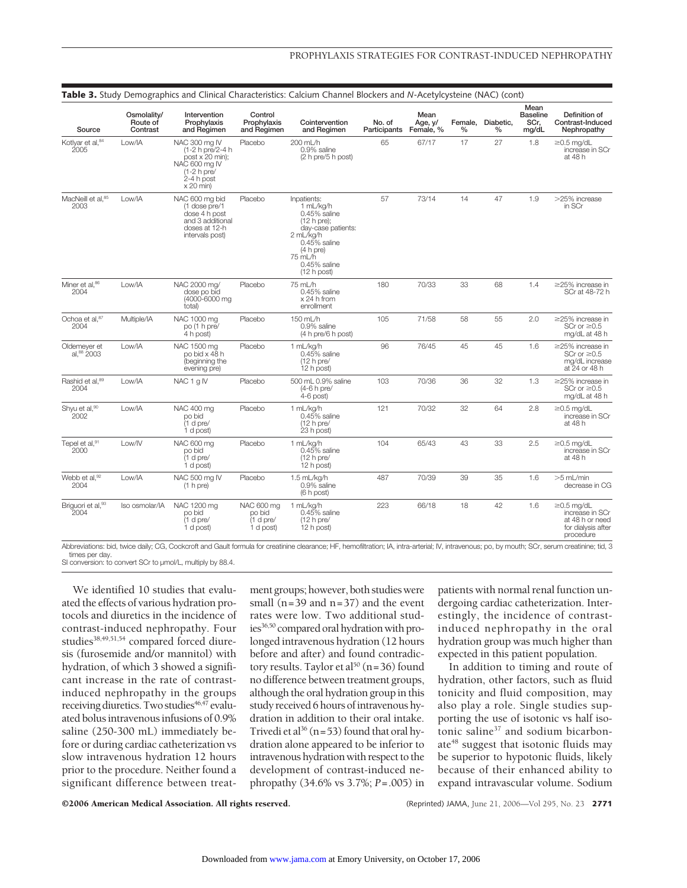| Source                              | Osmolality/<br>Route of<br>Contrast | Intervention<br>Prophylaxis<br>and Regimen                                                                           | Control<br>Prophylaxis<br>and Regimen          | Cointervention<br>and Regimen                                                                                                                                              | No. of<br>Participants Female, % | Mean<br>Age, y/ | Female,<br>$\%$ | Diabetic,<br>$\frac{0}{0}$ | Mean<br><b>Baseline</b><br>SCr.<br>mg/dL | Definition of<br>Contrast-Induced<br>Nephropathy                                          |
|-------------------------------------|-------------------------------------|----------------------------------------------------------------------------------------------------------------------|------------------------------------------------|----------------------------------------------------------------------------------------------------------------------------------------------------------------------------|----------------------------------|-----------------|-----------------|----------------------------|------------------------------------------|-------------------------------------------------------------------------------------------|
| Kotlyar et al, 84<br>2005           | Low/IA                              | NAC 300 mg IV<br>(1-2 h pre/2-4 h<br>post x 20 min);<br>NAC 600 mg IV<br>$(1-2 h)$ pre/<br>2-4 h post<br>$x 20$ min) | Placebo                                        | 200 mL/h<br>0.9% saline<br>(2 h pre/5 h post)                                                                                                                              | 65                               | 67/17           | 17              | 27                         | 1.8                                      | $\geq$ 0.5 mg/dL<br>increase in SCr<br>at 48 h                                            |
| MacNeill et al, 85<br>2003          | Low/IA                              | NAC 600 mg bid<br>(1 dose pre/1<br>dose 4 h post<br>and 3 additional<br>doses at 12-h<br>intervals post)             | Placebo                                        | Inpatients:<br>1 mL/kg/h<br>$0.45%$ saline<br>$(12 h)$ pre);<br>day-case patients:<br>2 mL/kg/h<br>$0.45%$ saline<br>(4 h pre)<br>75 mL/h<br>$0.45%$ saline<br>(12 h post) | 57                               | 73/14           | 14              | 47                         | 1.9                                      | >25% increase<br>in SCr                                                                   |
| Miner et al, 86<br>2004             | Low/IA                              | NAC 2000 mg/<br>dose po bid<br>(4000-6000 mg)<br>total)                                                              | Placebo                                        | 75 mL/h<br>$0.45\%$ saline<br>$x 24$ h from<br>enrollment                                                                                                                  | 180                              | 70/33           | 33              | 68                         | 1.4                                      | $\geq$ 25% increase in<br>SCr at 48-72 h                                                  |
| Ochoa et al, 87<br>2004             | Multiple/IA                         | NAC 1000 mg<br>po (1 h pre/<br>4 h post)                                                                             | Placebo                                        | 150 mL/h<br>0.9% saline<br>(4 h pre/6 h post)                                                                                                                              | 105                              | 71/58           | 58              | 55                         | 2.0                                      | $\geq$ 25% increase in<br>SCr or $\geq 0.5$<br>mg/dL at 48 h                              |
| Oldemever et<br>al, 88 2003         | Low/IA                              | NAC 1500 ma<br>po bid x 48 h<br>(beginning the<br>evening pre)                                                       | Placebo                                        | 1 mL/ka/h<br>$0.45%$ saline<br>$(12 h)$ pre/<br>12 h post)                                                                                                                 | 96                               | 76/45           | 45              | 45                         | 1.6                                      | $\geq$ 25% increase in<br>SCr or $\geq 0.5$<br>mg/dL increase<br>at 24 or 48 h            |
| Rashid et al. <sup>89</sup><br>2004 | Low/IA                              | NAC 1 g IV                                                                                                           | Placebo                                        | 500 mL 0.9% saline<br>(4-6 h pre/<br>$4-6$ post)                                                                                                                           | 103                              | 70/36           | 36              | 32                         | 1.3                                      | $\geq$ 25% increase in<br>SCr or $\geq 0.5$<br>mg/dL at 48 h                              |
| Shyu et al,90<br>2002               | Low/IA                              | NAC 400 mg<br>po bid<br>(1 d pre/<br>1 d post)                                                                       | Placebo                                        | 1 mL/kg/h<br>$0.45%$ saline<br>$(12 h)$ pre/<br>23 h post)                                                                                                                 | 121                              | 70/32           | 32              | 64                         | 2.8                                      | $\geq$ 0.5 mg/dL<br>increase in SCr<br>at 48 h                                            |
| Tepel et al,91<br>2000              | Low/IV                              | NAC 600 mg<br>po bid<br>$(1$ d pre/<br>1 d post)                                                                     | Placebo                                        | 1 mL/kg/h<br>$0.45\%$ saline<br>$(12 h)$ pre/<br>12 h post)                                                                                                                | 104                              | 65/43           | 43              | 33                         | 2.5                                      | $\geq$ 0.5 mg/dL<br>increase in SCr<br>at 48 h                                            |
| Webb et al, 92<br>2004              | Low/IA                              | NAC 500 mg IV<br>(1 h pre)                                                                                           | Placebo                                        | 1.5 mL/kg/h<br>0.9% saline<br>(6 h post)                                                                                                                                   | 487                              | 70/39           | 39              | 35                         | 1.6                                      | $>5$ mL/min<br>decrease in CG                                                             |
| Briguori et al, 93<br>2004          | Iso osmolar/IA                      | NAC 1200 mg<br>po bid<br>(1 d pre/<br>1 d post)                                                                      | NAC 600 mg<br>po bid<br>(1 d pre/<br>1 d post) | 1 mL/kg/h<br>$0.45%$ saline<br>$(12 h)$ pre/<br>12 h post)                                                                                                                 | 223                              | 66/18           | 18              | 42                         | 1.6                                      | $\geq$ 0.5 mg/dL<br>increase in SCr<br>at 48 h or need<br>for dialysis after<br>procedure |

Abbreviations: bid, twice daily; CG, Cockcroft and Gault formula for creatinine clearance; HF, hemofiltration; IA, intra-arterial; IV, intravenous; po, by mouth; SCr, serum creatinine; tid, 3 times per day. SI conversion: to convert SCr to µmol/L, multiply by 88.4.

We identified 10 studies that evaluated the effects of various hydration protocols and diuretics in the incidence of contrast-induced nephropathy. Four studies<sup>38,49,51,54</sup> compared forced diuresis (furosemide and/or mannitol) with hydration, of which 3 showed a significant increase in the rate of contrastinduced nephropathy in the groups receiving diuretics. Two studies<sup>46,47</sup> evaluated bolus intravenous infusions of 0.9% saline (250-300 mL) immediately before or during cardiac catheterization vs slow intravenous hydration 12 hours prior to the procedure. Neither found a significant difference between treatment groups; however, both studies were small ( $n=39$  and  $n=37$ ) and the event rates were low. Two additional studies<sup>36,50</sup> compared oral hydration with prolonged intravenous hydration (12 hours before and after) and found contradictory results. Taylor et al<sup>50</sup> (n=36) found no difference between treatment groups, although the oral hydration group in this study received 6 hours of intravenous hydration in addition to their oral intake. Trivedi et al<sup>36</sup> (n=53) found that oral hydration alone appeared to be inferior to intravenous hydration with respect to the development of contrast-induced nephropathy (34.6% vs 3.7%; *P*=.005) in

patients with normal renal function undergoing cardiac catheterization. Interestingly, the incidence of contrastinduced nephropathy in the oral hydration group was much higher than expected in this patient population.

In addition to timing and route of hydration, other factors, such as fluid tonicity and fluid composition, may also play a role. Single studies supporting the use of isotonic vs half isotonic saline37 and sodium bicarbonate<sup>48</sup> suggest that isotonic fluids may be superior to hypotonic fluids, likely because of their enhanced ability to expand intravascular volume. Sodium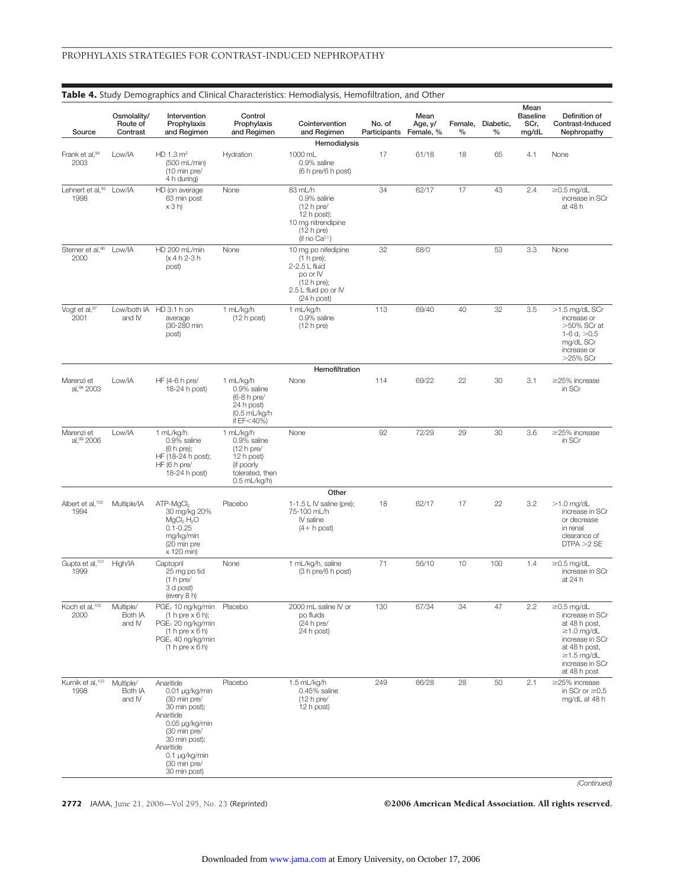| Source                               | Osmolality/<br>Route of<br>Contrast | Intervention<br>Prophylaxis<br>and Regimen                                                                                                                                                 | Control<br>Prophylaxis<br>and Regimen                                                                      | Cointervention<br>and Regimen                                                                                         | No. of<br>Participants Female, % | Mean<br>Age, y/ | Female,<br>% | Diabetic,<br>% | Mean<br><b>Baseline</b><br>SCr,<br>mg/dL | Definition of<br>Contrast-Induced<br>Nephropathy                                                                                                                    |
|--------------------------------------|-------------------------------------|--------------------------------------------------------------------------------------------------------------------------------------------------------------------------------------------|------------------------------------------------------------------------------------------------------------|-----------------------------------------------------------------------------------------------------------------------|----------------------------------|-----------------|--------------|----------------|------------------------------------------|---------------------------------------------------------------------------------------------------------------------------------------------------------------------|
|                                      |                                     |                                                                                                                                                                                            |                                                                                                            | Hemodialysis                                                                                                          |                                  |                 |              |                |                                          |                                                                                                                                                                     |
| Frank et al, 94<br>2003              | Low/IA                              | HD 1.3 m <sup>2</sup><br>(500 mL/min)<br>(10 min pre/<br>4 h during)                                                                                                                       | Hydration                                                                                                  | 1000 mL<br>0.9% saline<br>(6 h pre/6 h post)                                                                          | 17                               | 61/18           | 18           | 65             | 4.1                                      | None                                                                                                                                                                |
| Lehnert et al, 95<br>1998            | Low/IA                              | HD (on average<br>63 min post<br>x 3 h                                                                                                                                                     | None                                                                                                       | 83 mL/h<br>0.9% saline<br>$(12 h)$ pre/<br>$12 h$ post);<br>10 mg nitrendipine<br>$(12 h)$ pre)<br>(if no $Ca^{2+}$ ) | 34                               | 62/17           | 17           | 43             | 2.4                                      | $\geq$ 0.5 mg/dL<br>increase in SCr<br>at 48 h                                                                                                                      |
| Sterner et al, 96<br>2000            | Low/IA                              | HD 200 mL/min<br>(x 4 h 2-3 h<br>post)                                                                                                                                                     | None                                                                                                       | 10 mg po nifedipine<br>(1 h pre);<br>2-2.5 L fluid<br>po or IV<br>(12 h pre);<br>2.5 L fluid po or IV<br>(24 h post)  | 32                               | 68/0            |              | 53             | 3.3                                      | None                                                                                                                                                                |
| Vogt et al,97<br>2001                | and IV                              | Low/both IA HD 3.1 h on<br>average<br>(30-280 min<br>post)                                                                                                                                 | 1 mL/kg/h<br>(12 h post)                                                                                   | 1 mL/kg/h<br>0.9% saline<br>$(12 h)$ pre)                                                                             | 113                              | 69/40           | 40           | 32             | 3.5                                      | >1.5 mg/dL SCr<br>increase or<br>$>50\%$ SCr at<br>1-6 d, $>0.5$<br>mg/dL SCr<br>increase or<br>$>25\%$ SCr                                                         |
|                                      |                                     |                                                                                                                                                                                            |                                                                                                            | Hemofiltration                                                                                                        |                                  |                 |              |                |                                          |                                                                                                                                                                     |
| Marenzi et<br>al, 98 2003            | Low/IA                              | HF (4-6 h pre/<br>18-24 h post)                                                                                                                                                            | 1 mL/kg/h<br>0.9% saline<br>(6-8 h pre/<br>24 h post)<br>$(0.5 \text{ mL/kg/h})$<br>if $EF<$ 40%)          | None                                                                                                                  | 114                              | 69/22           | 22           | 30             | 3.1                                      | $\geq$ 25% increase<br>in SCr                                                                                                                                       |
| Marenzi et<br>al,99 2006             | Low/IA                              | 1 mL/kg/h<br>0.9% saline<br>(6 h pre);<br>HF (18-24 h post);<br>HF (6 h pre/<br>18-24 h post)                                                                                              | 1 mL/kg/h<br>0.9% saline<br>$(12 h)$ pre/<br>12 h post)<br>(if poorly<br>tolerated, then<br>$0.5$ mL/kg/h) | None                                                                                                                  | 92                               | 72/29           | 29           | 30             | 3.6                                      | $\geq$ 25% increase<br>in SCr                                                                                                                                       |
| Albert et al, <sup>100</sup><br>1994 | Multiple/IA                         | $ATP-MgCl2$<br>30 mg/kg 20%<br>MgCl <sub>2</sub> H <sub>2</sub> O<br>$0.1 - 0.25$<br>mg/kg/min<br>(20 min pre<br>x 120 min)                                                                | Placebo                                                                                                    | Other<br>1-1.5 L IV saline (pre);<br>75-100 mL/h<br>IV saline<br>$(4 + h$ post)                                       | 18                               | 62/17           | 17           | 22             | 3.2                                      | $>1.0$ mg/dL<br>increase in SCr<br>or decrease<br>in renal<br>clearance of<br>DTPA > 2 SE                                                                           |
| Gupta et al, <sup>101</sup><br>1999  | High/IA                             | Captopril<br>25 mg po tid<br>(1 h pre/<br>3 d post)<br>(every 8 h)                                                                                                                         | None                                                                                                       | 1 mL/kg/h, saline<br>(3 h pre/6 h post)                                                                               | 71                               | 56/10           | 10           | 100            | 1.4                                      | $\geq$ 0.5 mg/dL<br>increase in SCr<br>at 24 h                                                                                                                      |
| Koch et al, <sup>102</sup><br>2000   | Multiple/<br>Both IA<br>and IV      | PGE, 10 ng/kg/min<br>$(1 h pre \times 6 h);$<br>PGE, 20 ng/kg/min<br>$(1 h pre \times 6 h)$<br>$PGE1$ 40 ng/kg/min<br>$(1 h pre \times 6 h)$                                               | Placebo                                                                                                    | 2000 mL saline IV or<br>po fluids<br>(24 h pre/<br>24 h post)                                                         | 130                              | 67/34           | 34           | 47             | 2.2                                      | $\geq$ 0.5 mg/dL<br>increase in SCr<br>at 48 h post,<br>$\geq$ 1.0 mg/dL<br>increase in SCr<br>at 48 h post,<br>$\geq$ 1.5 mg/dL<br>increase in SCr<br>at 48 h post |
| Kurnik et al, 103<br>1998            | Multiple/<br>Both IA<br>and IV      | Anaritide<br>0.01 µg/kg/min<br>(30 min pre/<br>30 min post);<br>Anaritide<br>0.05 µg/kg/min<br>(30 min pre/<br>30 min post);<br>Anaritide<br>0.1 µg/kg/min<br>(30 min pre/<br>30 min post) | Placebo                                                                                                    | 1.5 mL/kg/h<br>0.45% saline<br>$(12 h)$ pre/<br>12 h post)                                                            | 249                              | 66/28           | 28           | 50             | 2.1                                      | $\geq$ 25% increase<br>in SCr or $\geq 0.5$<br>mg/dL at 48 h<br>(Continued)                                                                                         |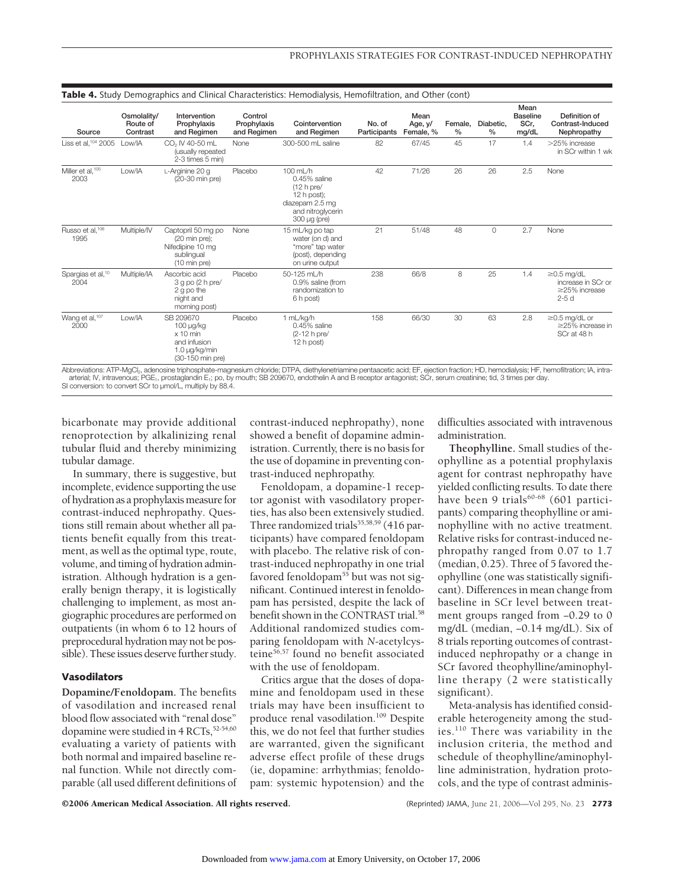|                                       | ັ                                   |                                                                                                  |                                       |                                                                                                                          |                        |                              |                 |                   |                                          |                                                                         |
|---------------------------------------|-------------------------------------|--------------------------------------------------------------------------------------------------|---------------------------------------|--------------------------------------------------------------------------------------------------------------------------|------------------------|------------------------------|-----------------|-------------------|------------------------------------------|-------------------------------------------------------------------------|
| Source                                | Osmolality/<br>Route of<br>Contrast | Intervention<br>Prophylaxis<br>and Regimen                                                       | Control<br>Prophylaxis<br>and Regimen | Cointervention<br>and Regimen                                                                                            | No. of<br>Participants | Mean<br>Age, y/<br>Female, % | Female,<br>$\%$ | Diabetic,<br>$\%$ | Mean<br><b>Baseline</b><br>SCr,<br>mg/dL | Definition of<br>Contrast-Induced<br>Nephropathy                        |
| Liss et al, 104 2005                  | Low/IA                              | CO <sub>2</sub> IV 40-50 mL<br>(usually repeated<br>2-3 times 5 min)                             | None                                  | 300-500 mL saline                                                                                                        | 82                     | 67/45                        | 45              | 17                | 1.4                                      | >25% increase<br>in SCr within 1 wk                                     |
| Miller et al, 105<br>2003             | Low/IA                              | L-Arginine 20 g<br>(20-30 min pre)                                                               | Placebo                               | 100 mL/h<br>$0.45\%$ saline<br>$(12 h)$ pre/<br>12 h post);<br>diazepam 2.5 mg<br>and nitroglycerin<br>$300 \mu g$ (pre) | 42                     | 71/26                        | 26              | 26                | 2.5                                      | None                                                                    |
| Russo et al, <sup>106</sup><br>1995   | Multiple/IV                         | Captopril 50 mg po<br>$(20 \text{ min pre})$ ;<br>Nifedipine 10 mg<br>sublingual<br>(10 min pre) | None                                  | 15 mL/kg po tap<br>water (on d) and<br>"more" tap water<br>(post), depending<br>on urine output                          | 21                     | 51/48                        | 48              | 0                 | 2.7                                      | None                                                                    |
| Spargias et al, <sup>10</sup><br>2004 | Multiple/IA                         | Ascorbic acid<br>$3 g$ po (2 h pre/<br>2 g po the<br>night and<br>morning post)                  | Placebo                               | 50-125 mL/h<br>0.9% saline (from<br>randomization to<br>6 h post)                                                        | 238                    | 66/8                         | 8               | 25                | 1.4                                      | $\geq$ 0.5 mg/dL<br>increase in SCr or<br>$\geq$ 25% increase<br>$2-5d$ |
| Wang et al, <sup>107</sup><br>2000    | Low/IA                              | SB 209670<br>100 µg/kg<br>$x 10$ min<br>and infusion<br>1.0 µg/kg/min<br>(30-150 min pre)        | Placebo                               | 1 mL/kg/h<br>$0.45\%$ saline<br>(2-12 h pre/<br>12 h post)                                                               | 158                    | 66/30                        | 30              | 63                | 2.8                                      | $\geq$ 0.5 mg/dL or<br>$\geq$ 25% increase in<br>SCr at 48 h            |

#### **Table 4.** Study Demographics and Clinical Characteristics: Hemodialysis, Hemofiltration, and Other (cont)

Abbreviations: ATP-MgCl2, adenosine triphosphate-magnesium chloride; DTPA, diethylenetriamine pentaacetic acid; EF, ejection fraction; HD, hemodialysis; HF, hemofiltration; IA, intraarterial; IV, intravenous; PGE<sub>1</sub>, prostaglandin E<sub>1</sub>; po, by mouth; SB 209670, endothelin A and B receptor antagonist; SCr, serum creatinine; tid, 3 times per day.<br>SI conversion: to convert SCr to µmol/L, multiply by 88.4

bicarbonate may provide additional renoprotection by alkalinizing renal tubular fluid and thereby minimizing tubular damage.

In summary, there is suggestive, but incomplete, evidence supporting the use of hydration as a prophylaxis measure for contrast-induced nephropathy. Questions still remain about whether all patients benefit equally from this treatment, as well as the optimal type, route, volume, and timing of hydration administration. Although hydration is a generally benign therapy, it is logistically challenging to implement, as most angiographic procedures are performed on outpatients (in whom 6 to 12 hours of preprocedural hydration may not be possible). These issues deserve further study.

## **Vasodilators**

**Dopamine/Fenoldopam.** The benefits of vasodilation and increased renal blood flow associated with "renal dose" dopamine were studied in 4 RCTs, 52-54,60 evaluating a variety of patients with both normal and impaired baseline renal function. While not directly comparable (all used different definitions of contrast-induced nephropathy), none showed a benefit of dopamine administration. Currently, there is no basis for the use of dopamine in preventing contrast-induced nephropathy.

Fenoldopam, a dopamine-1 receptor agonist with vasodilatory properties, has also been extensively studied. Three randomized trials $55,58,59$  (416 participants) have compared fenoldopam with placebo. The relative risk of contrast-induced nephropathy in one trial favored fenoldopam<sup>55</sup> but was not significant. Continued interest in fenoldopam has persisted, despite the lack of benefit shown in the CONTRAST trial.<sup>58</sup> Additional randomized studies comparing fenoldopam with *N*-acetylcysteine56,57 found no benefit associated with the use of fenoldopam.

Critics argue that the doses of dopamine and fenoldopam used in these trials may have been insufficient to produce renal vasodilation.109 Despite this, we do not feel that further studies are warranted, given the significant adverse effect profile of these drugs (ie, dopamine: arrhythmias; fenoldopam: systemic hypotension) and the difficulties associated with intravenous administration.

**Theophylline.** Small studies of theophylline as a potential prophylaxis agent for contrast nephropathy have yielded conflicting results. To date there have been 9 trials $60-68$  (601 participants) comparing theophylline or aminophylline with no active treatment. Relative risks for contrast-induced nephropathy ranged from 0.07 to 1.7 (median, 0.25). Three of 5 favored theophylline (one was statistically significant). Differences in mean change from baseline in SCr level between treatment groups ranged from −0.29 to 0 mg/dL (median, −0.14 mg/dL). Six of 8 trials reporting outcomes of contrastinduced nephropathy or a change in SCr favored theophylline/aminophylline therapy (2 were statistically significant).

Meta-analysis has identified considerable heterogeneity among the studies.110 There was variability in the inclusion criteria, the method and schedule of theophylline/aminophylline administration, hydration protocols, and the type of contrast adminis-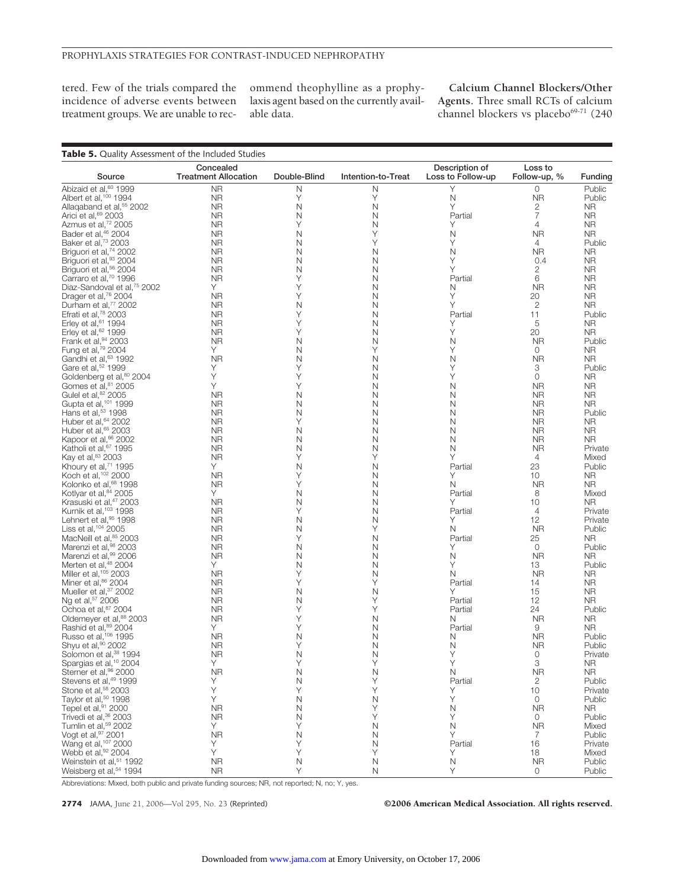tered. Few of the trials compared the incidence of adverse events between treatment groups. We are unable to recommend theophylline as a prophylaxis agent based on the currently available data.

**Calcium Channel Blockers/Other Agents.** Three small RCTs of calcium channel blockers vs placebo<sup>69-71</sup> (240

| Table 5. Quality Assessment of the Included Studies                   |                                          |              |                    |                                     |                         |                        |
|-----------------------------------------------------------------------|------------------------------------------|--------------|--------------------|-------------------------------------|-------------------------|------------------------|
| Source                                                                | Concealed<br><b>Treatment Allocation</b> | Double-Blind | Intention-to-Treat | Description of<br>Loss to Follow-up | Loss to<br>Follow-up, % | Funding                |
| Abizaid et al, <sup>60</sup> 1999                                     | <b>NR</b>                                | Ν            | N                  | Υ                                   | 0                       | Public                 |
| Albert et al, <sup>100</sup> 1994                                     | <b>NR</b>                                | Υ            | Y                  | N                                   | <b>NR</b>               | Public                 |
| Allagaband et al, <sup>55</sup> 2002                                  | <b>NR</b>                                | N            | N                  | Υ                                   | 2                       | <b>NR</b>              |
| Arici et al, 69 2003                                                  | <b>NR</b>                                | N            | N                  | Partial                             | 7                       | <b>NR</b>              |
| Azmus et al, <sup>72</sup> 2005                                       | <b>NR</b>                                | Υ            | N                  | Υ                                   | $\overline{4}$          | <b>NR</b>              |
| Bader et al, <sup>46</sup> 2004                                       | <b>NR</b>                                | N            | Y                  | N                                   | <b>NR</b>               | <b>NR</b>              |
| Baker et al, 73 2003                                                  | <b>NR</b>                                | N            | Υ                  | Υ                                   | $\overline{4}$          | Public                 |
| Briguori et al, <sup>74</sup> 2002                                    | <b>NR</b>                                | N            | N                  | N                                   | NR.                     | <b>NR</b>              |
| Briguori et al, <sup>93</sup> 2004                                    | <b>NR</b>                                | N            | N                  | Y                                   | 0.4                     | <b>NR</b>              |
| Briguori et al, <sup>56</sup> 2004                                    | <b>NR</b>                                | N            | N                  | Υ                                   | $\mathbf{2}$            | <b>NR</b>              |
| Carraro et al, <sup>70</sup> 1996                                     | <b>NR</b>                                | Υ            | N                  | Partial                             | 6                       | <b>NR</b>              |
| Diaz-Sandoval et al, <sup>75</sup> 2002                               | Y.                                       | Υ            | N                  | N                                   | <b>NR</b>               | <b>NR</b>              |
| Drager et al, <sup>76</sup> 2004                                      | <b>NR</b>                                | Y            | N                  | Y                                   | 20                      | <b>NR</b>              |
| Durham et al, <sup>77</sup> 2002                                      | <b>NR</b>                                | $\mathsf{N}$ | N                  | Υ                                   | $\mathbf{2}$            | <b>NR</b>              |
| Efrati et al, 78 2003                                                 | <b>NR</b>                                | Y            | N                  | Partial                             | 11                      | Public                 |
| Erley et al, 61 1994                                                  | <b>NR</b>                                | Υ            | N                  | Υ                                   | 5                       | NR.                    |
| Erley et al, 62 1999                                                  | <b>NR</b>                                | Υ            | N                  | Υ                                   | 20                      | <b>NR</b>              |
| Frank et al, 94 2003                                                  | <b>NR</b>                                | N            | N                  | N                                   | <b>NR</b>               | Public                 |
| Fung et al, 79 2004                                                   | Y.                                       | N            | Υ                  | Υ                                   | $\mathbf 0$             | NR.                    |
| Gandhi et al, <sup>63</sup> 1992                                      | <b>NR</b>                                | N<br>Y       | N                  | N                                   | <b>NR</b>               | <b>NR</b>              |
| Gare et al, <sup>52</sup> 1999                                        | Υ                                        |              | N                  | Y                                   | 3                       | Public                 |
| Goldenberg et al, 80 2004<br>Gomes et al, <sup>81</sup> 2005          | Υ<br>Υ                                   | Υ<br>Υ       | N                  | Υ                                   | 0                       | <b>NR</b>              |
| Gulel et al, <sup>82</sup> 2005                                       |                                          | N            | N                  | Ν                                   | <b>NR</b><br><b>NR</b>  | <b>NR</b><br><b>NR</b> |
| Gupta et al. <sup>101</sup> 1999                                      | NR                                       | N            | N<br>N             | N<br>N                              |                         | <b>NR</b>              |
| Hans et al, <sup>53</sup> 1998                                        | <b>NR</b><br><b>NR</b>                   | N            | N                  | N                                   | <b>NR</b><br><b>NR</b>  | Public                 |
| Huber et al, 64 2002                                                  | <b>NR</b>                                | Υ            | N                  | N                                   | <b>NR</b>               | NR.                    |
| Huber et al, 65 2003                                                  | <b>NR</b>                                | N            | N                  | N                                   | <b>NR</b>               | <b>NR</b>              |
| Kapoor et al, 66 2002                                                 | <b>NR</b>                                | N            | N                  | N                                   | <b>NR</b>               | NR.                    |
| Katholi et al, 67 1995                                                | <b>NR</b>                                | N            | N                  | N                                   | <b>NR</b>               | Private                |
| Kay et al, 83 2003                                                    | <b>NR</b>                                | Υ            | Υ                  | Υ                                   | 4                       | Mixed                  |
| Khoury et al, <sup>71</sup> 1995                                      | Y.                                       | N            | N                  | Partial                             | 23                      | Public                 |
| Koch et al, 102 2000                                                  | <b>NR</b>                                | Υ            | N                  | Υ                                   | 10                      | <b>NR</b>              |
| Kolonko et al, <sup>68</sup> 1998                                     | <b>NR</b>                                | Υ            | N                  | N                                   | <b>NR</b>               | NR                     |
| Kotlyar et al, 84 2005                                                | Y.                                       | N            | N                  | Partial                             | 8                       | Mixed                  |
| Krasuski et al, <sup>47</sup> 2003                                    | <b>NR</b>                                | N            | N                  | Υ                                   | 10                      | NR.                    |
| Kurnik et al, <sup>103</sup> 1998                                     | <b>NR</b>                                | Υ            | N                  | Partial                             | $\overline{4}$          | Private                |
| Lehnert et al, 95 1998                                                | <b>NR</b>                                | N            | N                  | Υ                                   | 12                      | Private                |
| Liss et al, 104 2005                                                  | <b>NR</b>                                | N            | Υ                  | N                                   | <b>NR</b>               | Public                 |
| MacNeill et al, <sup>85</sup> 2003                                    | <b>NR</b>                                | Υ            | N                  | Partial                             | 25                      | <b>NR</b>              |
| Marenzi et al, 98 2003                                                | <b>NR</b>                                | N            | N                  | Υ                                   | $\circ$                 | Public                 |
| Marenzi et al, 99 2006                                                | <b>NR</b>                                | N            | N                  | N                                   | <b>NR</b>               | <b>NR</b>              |
| Merten et al, <sup>48</sup> 2004                                      | Y.                                       | N            | N                  | Υ                                   | 13                      | Public                 |
| Miller et al, 105 2003                                                | <b>NR</b>                                | Υ            | N                  | N                                   | <b>NR</b>               | <b>NR</b>              |
| Miner et al, 86 2004                                                  | <b>NR</b>                                | Y            | Y                  | Partial                             | 14                      | NR.                    |
| Mueller et al. <sup>37</sup> 2002                                     | <b>NR</b>                                | N            | N                  | Υ                                   | 15                      | NR.                    |
| Ng et al, <sup>57</sup> 2006                                          | <b>NR</b>                                | N            | Υ                  | Partial                             | 12                      | <b>NR</b>              |
| Ochoa et al, 87 2004                                                  | <b>NR</b>                                | Υ            | Υ                  | Partial                             | 24                      | Public                 |
| Oldemeyer et al, <sup>88</sup> 2003                                   | <b>NR</b>                                | Υ            | N                  | N                                   | <b>NR</b>               | <b>NR</b>              |
| Rashid et al, <sup>89</sup> 2004                                      | Y.                                       | Υ            | N                  | Partial                             | 9                       | <b>NR</b>              |
| Russo et al, 106 1995                                                 | <b>NR</b>                                | N            | N                  | N                                   | <b>NR</b>               | Public                 |
| Shyu et al, <sup>90</sup> 2002                                        | NR                                       | Υ            | N                  | N                                   | ΝR                      | Public                 |
| Solomon et al, <sup>38</sup> 1994                                     | <b>NR</b>                                | N            | N                  | Υ                                   | 0                       | Private                |
| Spargias et al, <sup>10</sup> 2004                                    | Y.                                       | Υ            | Υ                  | Υ                                   | 3                       | NR.                    |
| Sterner et al, <sup>96</sup> 2000                                     | <b>NR</b>                                | N            | N                  | N                                   | <b>NR</b>               | <b>NR</b>              |
| Stevens et al, <sup>49</sup> 1999                                     | Υ                                        | N            | Y                  | Partial                             | 2                       | Public                 |
| Stone et al, <sup>58</sup> 2003                                       | Υ                                        | Υ            | Υ                  | Υ                                   | 10                      | Private                |
| Taylor et al, <sup>50</sup> 1998                                      | Y                                        | N            | N                  | Υ                                   | $\mathbf 0$             | Public                 |
| Tepel et al, <sup>91</sup> 2000                                       | <b>NR</b>                                | N            | Y                  | N                                   | <b>NR</b>               | NR.                    |
| Trivedi et al, <sup>36</sup> 2003<br>Tumlin et al, <sup>59</sup> 2002 | <b>NR</b>                                | $\mathsf N$  | Υ                  | Υ                                   | $\circ$                 | Public                 |
|                                                                       | Y.                                       | Υ            | N                  | Ν                                   | <b>NR</b>               | Mixed                  |
| Vogt et al, 97 2001                                                   | <b>NR</b>                                | N            | N                  | Υ                                   | 7                       | Public                 |
| Wang et al, 107 2000                                                  | Υ                                        | Υ            | N                  | Partial                             | 16                      | Private                |
| Webb et al, 92 2004                                                   | Y                                        | Υ            | Υ                  | Υ                                   | 18                      | Mixed                  |
| Weinstein et al, <sup>51</sup> 1992                                   | <b>NR</b>                                | N            | N                  | N                                   | ${\sf NR}$              | Public                 |
| Weisberg et al, <sup>54</sup> 1994                                    | <b>NR</b>                                | Υ            | $\mathsf N$        | Υ                                   | 0                       | Public                 |

Abbreviations: Mixed, both public and private funding sources; NR, not reported; N, no; Y, yes.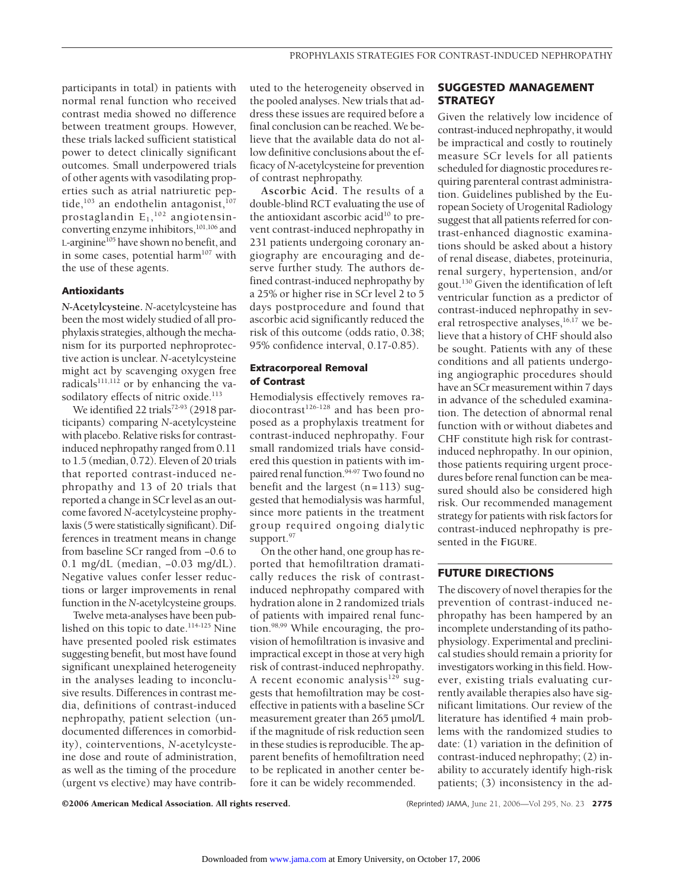participants in total) in patients with normal renal function who received contrast media showed no difference between treatment groups. However, these trials lacked sufficient statistical power to detect clinically significant outcomes. Small underpowered trials of other agents with vasodilating properties such as atrial natriuretic peptide,<sup>103</sup> an endothelin antagonist,  $107$ prostaglandin  $\mathsf{E}_1,^{\text{102}}$  angiotensinconverting enzyme inhibitors,<sup>101,106</sup> and L-arginine<sup>105</sup> have shown no benefit, and in some cases, potential harm $107$  with the use of these agents.

## **Antioxidants**

*N***-Acetylcysteine.** *N*-acetylcysteine has been the most widely studied of all prophylaxis strategies, although the mechanism for its purported nephroprotective action is unclear. *N*-acetylcysteine might act by scavenging oxygen free radicals $111,112$  or by enhancing the vasodilatory effects of nitric oxide.<sup>113</sup>

We identified 22 trials<sup>72-93</sup> (2918 participants) comparing *N*-acetylcysteine with placebo. Relative risks for contrastinduced nephropathy ranged from 0.11 to 1.5 (median, 0.72). Eleven of 20 trials that reported contrast-induced nephropathy and 13 of 20 trials that reported a change in SCr level as an outcome favored *N*-acetylcysteine prophylaxis (5 were statistically significant). Differences in treatment means in change from baseline SCr ranged from −0.6 to 0.1 mg/dL (median, −0.03 mg/dL). Negative values confer lesser reductions or larger improvements in renal function in the *N*-acetylcysteine groups.

Twelve meta-analyses have been published on this topic to date.<sup>114-125</sup> Nine have presented pooled risk estimates suggesting benefit, but most have found significant unexplained heterogeneity in the analyses leading to inconclusive results. Differences in contrast media, definitions of contrast-induced nephropathy, patient selection (undocumented differences in comorbidity), cointerventions, *N*-acetylcysteine dose and route of administration, as well as the timing of the procedure (urgent vs elective) may have contributed to the heterogeneity observed in the pooled analyses. New trials that address these issues are required before a final conclusion can be reached. We believe that the available data do not allow definitive conclusions about the efficacy of *N*-acetylcysteine for prevention of contrast nephropathy.

**Ascorbic Acid.** The results of a double-blind RCT evaluating the use of the antioxidant ascorbic acid<sup>10</sup> to prevent contrast-induced nephropathy in 231 patients undergoing coronary angiography are encouraging and deserve further study. The authors defined contrast-induced nephropathy by a 25% or higher rise in SCr level 2 to 5 days postprocedure and found that ascorbic acid significantly reduced the risk of this outcome (odds ratio, 0.38; 95% confidence interval, 0.17-0.85).

## **Extracorporeal Removal of Contrast**

Hemodialysis effectively removes ra $diocontrast<sup>126-128</sup>$  and has been proposed as a prophylaxis treatment for contrast-induced nephropathy. Four small randomized trials have considered this question in patients with impaired renal function.<sup>94-97</sup> Two found no benefit and the largest  $(n=113)$  suggested that hemodialysis was harmful, since more patients in the treatment group required ongoing dialytic support.<sup>97</sup>

On the other hand, one group has reported that hemofiltration dramatically reduces the risk of contrastinduced nephropathy compared with hydration alone in 2 randomized trials of patients with impaired renal function.98,99 While encouraging, the provision of hemofiltration is invasive and impractical except in those at very high risk of contrast-induced nephropathy. A recent economic analysis $129$  suggests that hemofiltration may be costeffective in patients with a baseline SCr measurement greater than 265 µmol/L if the magnitude of risk reduction seen in these studies is reproducible. The apparent benefits of hemofiltration need to be replicated in another center before it can be widely recommended.

## **SUGGESTED MANAGEMENT STRATEGY**

Given the relatively low incidence of contrast-induced nephropathy, it would be impractical and costly to routinely measure SCr levels for all patients scheduled for diagnostic procedures requiring parenteral contrast administration. Guidelines published by the European Society of Urogenital Radiology suggest that all patients referred for contrast-enhanced diagnostic examinations should be asked about a history of renal disease, diabetes, proteinuria, renal surgery, hypertension, and/or gout.130 Given the identification of left ventricular function as a predictor of contrast-induced nephropathy in several retrospective analyses, $16,17$  we believe that a history of CHF should also be sought. Patients with any of these conditions and all patients undergoing angiographic procedures should have an SCr measurement within 7 days in advance of the scheduled examination. The detection of abnormal renal function with or without diabetes and CHF constitute high risk for contrastinduced nephropathy. In our opinion, those patients requiring urgent procedures before renal function can be measured should also be considered high risk. Our recommended management strategy for patients with risk factors for contrast-induced nephropathy is presented in the **FIGURE**.

# **FUTURE DIRECTIONS**

The discovery of novel therapies for the prevention of contrast-induced nephropathy has been hampered by an incomplete understanding of its pathophysiology. Experimental and preclinical studies should remain a priority for investigators working in this field. However, existing trials evaluating currently available therapies also have significant limitations. Our review of the literature has identified 4 main problems with the randomized studies to date: (1) variation in the definition of contrast-induced nephropathy; (2) inability to accurately identify high-risk patients; (3) inconsistency in the ad-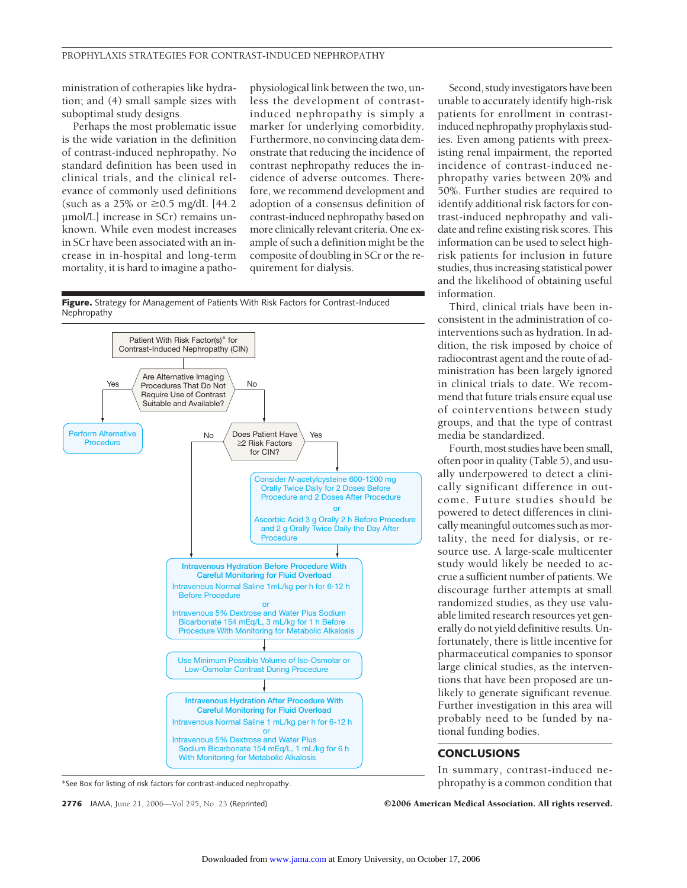ministration of cotherapies like hydration; and (4) small sample sizes with suboptimal study designs.

Perhaps the most problematic issue is the wide variation in the definition of contrast-induced nephropathy. No standard definition has been used in clinical trials, and the clinical relevance of commonly used definitions (such as a 25% or  $\geq$ 0.5 mg/dL [44.2] µmol/L] increase in SCr) remains unknown. While even modest increases in SCr have been associated with an increase in in-hospital and long-term mortality, it is hard to imagine a pathophysiological link between the two, unless the development of contrastinduced nephropathy is simply a marker for underlying comorbidity. Furthermore, no convincing data demonstrate that reducing the incidence of contrast nephropathy reduces the incidence of adverse outcomes. Therefore, we recommend development and adoption of a consensus definition of contrast-induced nephropathy based on more clinically relevant criteria. One example of such a definition might be the composite of doubling in SCr or the requirement for dialysis.





\*See Box for listing of risk factors for contrast-induced nephropathy.

Second, study investigators have been unable to accurately identify high-risk patients for enrollment in contrastinduced nephropathy prophylaxis studies. Even among patients with preexisting renal impairment, the reported incidence of contrast-induced nephropathy varies between 20% and 50%. Further studies are required to identify additional risk factors for contrast-induced nephropathy and validate and refine existing risk scores. This information can be used to select highrisk patients for inclusion in future studies, thus increasing statistical power and the likelihood of obtaining useful information.

Third, clinical trials have been inconsistent in the administration of cointerventions such as hydration. In addition, the risk imposed by choice of radiocontrast agent and the route of administration has been largely ignored in clinical trials to date. We recommend that future trials ensure equal use of cointerventions between study groups, and that the type of contrast media be standardized.

Fourth, most studies have been small, often poor in quality (Table 5), and usually underpowered to detect a clinically significant difference in outcome. Future studies should be powered to detect differences in clinically meaningful outcomes such as mortality, the need for dialysis, or resource use. A large-scale multicenter study would likely be needed to accrue a sufficient number of patients. We discourage further attempts at small randomized studies, as they use valuable limited research resources yet generally do not yield definitive results. Unfortunately, there is little incentive for pharmaceutical companies to sponsor large clinical studies, as the interventions that have been proposed are unlikely to generate significant revenue. Further investigation in this area will probably need to be funded by national funding bodies.

## **CONCLUSIONS**

In summary, contrast-induced nephropathy is a common condition that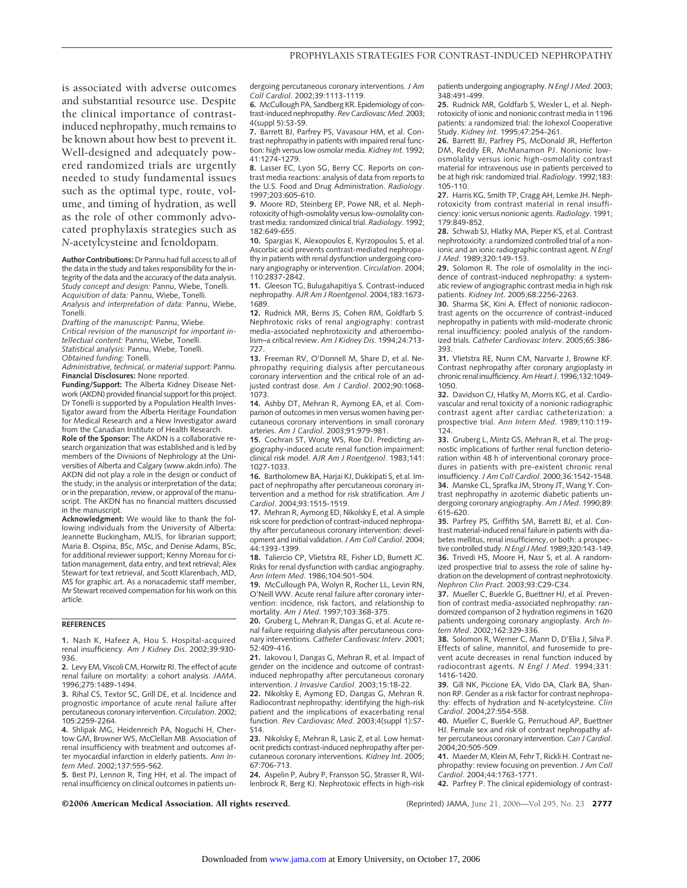is associated with adverse outcomes and substantial resource use. Despite the clinical importance of contrastinduced nephropathy, much remains to be known about how best to prevent it. Well-designed and adequately powered randomized trials are urgently needed to study fundamental issues such as the optimal type, route, volume, and timing of hydration, as well as the role of other commonly advocated prophylaxis strategies such as *N*-acetylcysteine and fenoldopam.

**Author Contributions:** Dr Pannu had full access to all of the data in the study and takes responsibility for the integrity of the data and the accuracy of the data analysis. *Study concept and design:* Pannu, Wiebe, Tonelli. *Acquisition of data:* Pannu, Wiebe, Tonelli. *Analysis and interpretation of data:* Pannu, Wiebe, Tonelli.

*Drafting of the manuscript:* Pannu, Wiebe. *Critical revision of the manuscript for important intellectual content:* Pannu, Wiebe, Tonelli. *Statistical analysis:* Pannu, Wiebe, Tonelli. *Obtained funding:* Tonelli.

*Administrative, technical, or material support:* Pannu. **Financial Disclosures:** None reported.

**Funding/Support:** The Alberta Kidney Disease Network (AKDN) provided financial support for this project. Dr Tonelli is supported by a Population Health Investigator award from the Alberta Heritage Foundation for Medical Research and a New Investigator award from the Canadian Institute of Health Research.

**Role of the Sponsor:** The AKDN is a collaborative research organization that was established and is led by members of the Divisions of Nephrology at the Universities of Alberta and Calgary (www.akdn.info). The AKDN did not play a role in the design or conduct of the study; in the analysis or interpretation of the data; or in the preparation, review, or approval of the manuscript. The AKDN has no financial matters discussed in the manuscript.

**Acknowledgment:** We would like to thank the following individuals from the University of Alberta: Jeannette Buckingham, MLIS, for librarian support; Maria B. Ospina, BSc, MSc, and Denise Adams, BSc, for additional reviewer support; Kenny Moreau for citation management, data entry, and text retrieval; Alex Stewart for text retrieval, and Scott Klarenbach, MD, MS for graphic art. As a nonacademic staff member, Mr Stewart received compensation for his work on this article.

#### **REFERENCES**

**1.** Nash K, Hafeez A, Hou S. Hospital-acquired renal insufficiency. *Am J Kidney Dis*. 2002;39:930- 936.

**2.** Levy EM, Viscoli CM, Horwitz RI. The effect of acute renal failure on mortality: a cohort analysis. *JAMA*. 1996;275:1489-1494.

**3.** Rihal CS, Textor SC, Grill DE, et al. Incidence and prognostic importance of acute renal failure after percutaneous coronary intervention. *Circulation*. 2002; 105:2259-2264.

**4.** Shlipak MG, Heidenreich PA, Noguchi H, Chertow GM, Browner WS, McClellan MB. Association of renal insufficiency with treatment and outcomes after myocardial infarction in elderly patients. *Ann Intern Med*. 2002;137:555-562.

**5.** Best PJ, Lennon R, Ting HH, et al. The impact of renal insufficiency on clinical outcomes in patients undergoing percutaneous coronary interventions. *J Am Coll Cardiol*. 2002;39:1113-1119.

**6.** McCullough PA, Sandberg KR. Epidemiology of contrast-induced nephropathy. *Rev Cardiovasc Med*. 2003; 4(suppl 5):S3-S9.

**7.** Barrett BJ, Parfrey PS, Vavasour HM, et al. Contrast nephropathy in patients with impaired renal function: high versus low osmolar media. *Kidney Int*. 1992; 41:1274-1279.

**8.** Lasser EC, Lyon SG, Berry CC. Reports on contrast media reactions: analysis of data from reports to the U.S. Food and Drug Administration. *Radiology*. 1997;203:605-610.

**9.** Moore RD, Steinberg EP, Powe NR, et al. Nephrotoxicity of high-osmolality versus low-osmolality contrast media: randomized clinical trial. *Radiology*. 1992; 182:649-655.

**10.** Spargias K, Alexopoulos E, Kyrzopoulos S, et al. Ascorbic acid prevents contrast-mediated nephropathy in patients with renal dysfunction undergoing coronary angiography or intervention. *Circulation*. 2004; 110:2837-2842.

**11.** Gleeson TG, Bulugahapitiya S. Contrast-induced nephropathy. *AJR Am J Roentgenol*. 2004;183:1673- 1689.

**12.** Rudnick MR, Berns JS, Cohen RM, Goldfarb S. Nephrotoxic risks of renal angiography: contrast media-associated nephrotoxicity and atheroembolism–a critical review. *Am J Kidney Dis*. 1994;24:713- 727.

**13.** Freeman RV, O'Donnell M, Share D, et al. Nephropathy requiring dialysis after percutaneous coronary intervention and the critical role of an adjusted contrast dose. *Am J Cardiol*. 2002;90:1068- 1073.

**14.** Ashby DT, Mehran R, Aymong EA, et al. Comparison of outcomes in men versus women having percutaneous coronary interventions in small coronary arteries. *Am J Cardiol*. 2003;91:979-981.

**15.** Cochran ST, Wong WS, Roe DJ. Predicting angiography-induced acute renal function impairment: clinical risk model. *AJR Am J Roentgenol*. 1983;141: 1027-1033.

**16.** Bartholomew BA, Harjai KJ, Dukkipati S, et al. Impact of nephropathy after percutaneous coronary intervention and a method for risk stratification. *Am J Cardiol*. 2004;93:1515-1519.

**17.** Mehran R, Aymong ED, Nikolsky E, et al. A simple risk score for prediction of contrast-induced nephropathy after percutaneous coronary intervention: development and initial validation.*J Am Coll Cardiol*. 2004; 44:1393-1399.

**18.** Taliercio CP, Vlietstra RE, Fisher LD, Burnett JC. Risks for renal dysfunction with cardiac angiography. *Ann Intern Med*. 1986;104:501-504.

**19.** McCullough PA, Wolyn R, Rocher LL, Levin RN, O'Neill WW. Acute renal failure after coronary intervention: incidence, risk factors, and relationship to mortality. *Am J Med*. 1997;103:368-375.

**20.** Gruberg L, Mehran R, Dangas G, et al. Acute renal failure requiring dialysis after percutaneous coronary interventions. *Catheter Cardiovasc Interv*. 2001; 52:409-416.

**21.** Iakovou I, Dangas G, Mehran R, et al. Impact of gender on the incidence and outcome of contrastinduced nephropathy after percutaneous coronary intervention. *J Invasive Cardiol*. 2003;15:18-22.

**22.** Nikolsky E, Aymong ED, Dangas G, Mehran R. Radiocontrast nephropathy: identifying the high-risk patient and the implications of exacerbating renal function. *Rev Cardiovasc Med*. 2003;4(suppl 1):S7- S14.

**23.** Nikolsky E, Mehran R, Lasic Z, et al. Low hematocrit predicts contrast-induced nephropathy after percutaneous coronary interventions. *Kidney Int*. 2005; 67:706-713.

**24.** Aspelin P, Aubry P, Fransson SG, Strasser R, Willenbrock R, Berg KJ. Nephrotoxic effects in high-risk patients undergoing angiography. *N Engl J Med*. 2003; 348:491-499.

**25.** Rudnick MR, Goldfarb S, Wexler L, et al. Nephrotoxicity of ionic and nonionic contrast media in 1196 patients: a randomized trial: the Iohexol Cooperative Study. *Kidney Int*. 1995;47:254-261.

**26.** Barrett BJ, Parfrey PS, McDonald JR, Hefferton DM, Reddy ER, McManamon PJ. Nonionic lowosmolality versus ionic high-osmolality contrast material for intravenous use in patients perceived to be at high risk: randomized trial. *Radiology*. 1992;183: 105-110.

**27.** Harris KG, Smith TP, Cragg AH, Lemke JH. Nephrotoxicity from contrast material in renal insufficiency: ionic versus nonionic agents. *Radiology*. 1991; 179:849-852.

**28.** Schwab SJ, Hlatky MA, Pieper KS, et al. Contrast nephrotoxicity: a randomized controlled trial of a nonionic and an ionic radiographic contrast agent. *N Engl J Med*. 1989;320:149-153.

**29.** Solomon R. The role of osmolality in the incidence of contrast-induced nephropathy: a systematic review of angiographic contrast media in high risk patients. *Kidney Int*. 2005;68:2256-2263.

**30.** Sharma SK, Kini A. Effect of nonionic radiocontrast agents on the occurrence of contrast-induced nephropathy in patients with mild-moderate chronic renal insufficiency: pooled analysis of the randomized trials. *Catheter Cardiovasc Interv*. 2005;65:386- 393.

**31.** Vlietstra RE, Nunn CM, Narvarte J, Browne KF. Contrast nephropathy after coronary angioplasty in chronic renal insufficiency.*Am Heart J*. 1996;132:1049- 1050.

**32.** Davidson CJ, Hlatky M, Morris KG, et al. Cardiovascular and renal toxicity of a nonionic radiographic contrast agent after cardiac catheterization: a prospective trial. *Ann Intern Med*. 1989;110:119- 124.

**33.** Gruberg L, Mintz GS, Mehran R, et al. The prognostic implications of further renal function deterioration within 48 h of interventional coronary procedures in patients with pre-existent chronic renal insufficiency.*J Am Coll Cardiol*. 2000;36:1542-1548. **34.** Manske CL, Sprafka JM, Strony JT, Wang Y. Contrast nephropathy in azotemic diabetic patients undergoing coronary angiography. *Am J Med*. 1990;89: 615-620.

**35.** Parfrey PS, Griffiths SM, Barrett BJ, et al. Contrast material-induced renal failure in patients with diabetes mellitus, renal insufficiency, or both: a prospective controlled study. *N Engl J Med*. 1989;320:143-149. **36.** Trivedi HS, Moore H, Nasr S, et al. A randomized prospective trial to assess the role of saline hydration on the development of contrast nephrotoxicity. *Nephron Clin Pract*. 2003;93:C29-C34.

**37.** Mueller C, Buerkle G, Buettner HJ, et al. Prevention of contrast media-associated nephropathy: randomized comparison of 2 hydration regimens in 1620 patients undergoing coronary angioplasty. *Arch Intern Med*. 2002;162:329-336.

**38.** Solomon R, Werner C, Mann D, D'Elia J, Silva P. Effects of saline, mannitol, and furosemide to prevent acute decreases in renal function induced by radiocontrast agents. *N Engl J Med*. 1994;331: 1416-1420.

**39.** Gill NK, Piccione EA, Vido DA, Clark BA, Shannon RP. Gender as a risk factor for contrast nephropathy: effects of hydration and N-acetylcysteine. *Clin Cardiol*. 2004;27:554-558.

**40.** Mueller C, Buerkle G, Perruchoud AP, Buettner HJ. Female sex and risk of contrast nephropathy after percutaneous coronary intervention. *Can J Cardiol*. 2004;20:505-509.

**41.** Maeder M, Klein M, Fehr T, Rickli H. Contrast nephropathy: review focusing on prevention. *J Am Coll Cardiol*. 2004;44:1763-1771.

**42.** Parfrey P. The clinical epidemiology of contrast-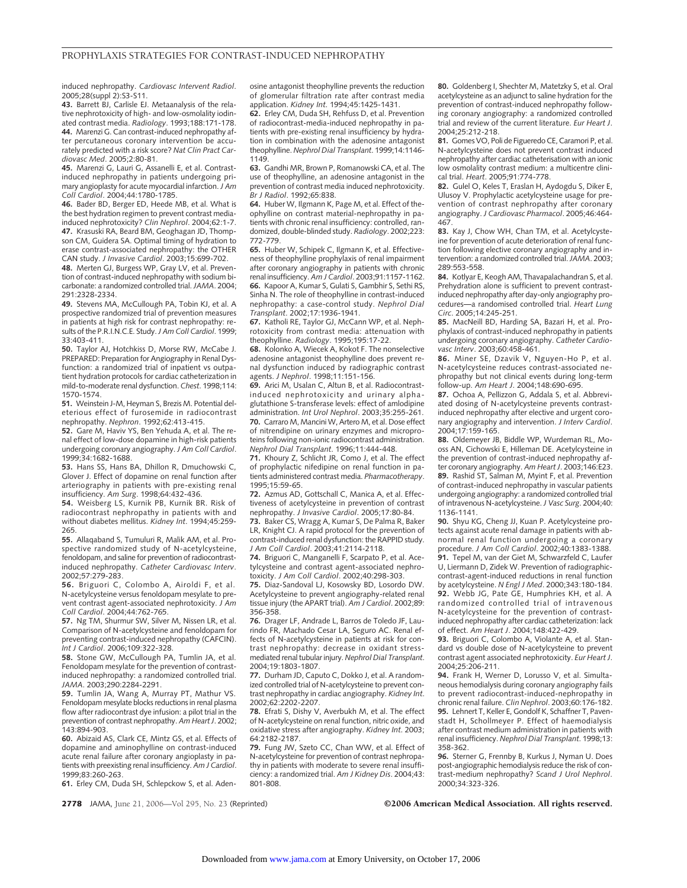induced nephropathy. *Cardiovasc Intervent Radiol*. 2005;28(suppl 2):S3-S11.

**43.** Barrett BJ, Carlisle EJ. Metaanalysis of the relative nephrotoxicity of high- and low-osmolality iodinated contrast media. *Radiology*. 1993;188:171-178. **44.** Marenzi G. Can contrast-induced nephropathy after percutaneous coronary intervention be accurately predicted with a risk score? *Nat Clin Pract Cardiovasc Med*. 2005;2:80-81.

**45.** Marenzi G, Lauri G, Assanelli E, et al. Contrastinduced nephropathy in patients undergoing primary angioplasty for acute myocardial infarction.*J Am Coll Cardiol*. 2004;44:1780-1785.

**46.** Bader BD, Berger ED, Heede MB, et al. What is the best hydration regimen to prevent contrast mediainduced nephrotoxicity? *Clin Nephrol*. 2004;62:1-7. **47.** Krasuski RA, Beard BM, Geoghagan JD, Thompson CM, Guidera SA. Optimal timing of hydration to erase contrast-associated nephropathy: the OTHER CAN study. *J Invasive Cardiol*. 2003;15:699-702.

**48.** Merten GJ, Burgess WP, Gray LV, et al. Prevention of contrast-induced nephropathy with sodium bicarbonate: a randomized controlled trial.*JAMA*. 2004; 291:2328-2334.

**49.** Stevens MA, McCullough PA, Tobin KJ, et al. A prospective randomized trial of prevention measures in patients at high risk for contrast nephropathy: results of the P.R.I.N.C.E. Study.*J Am Coll Cardiol*. 1999; 33:403-411.

**50.** Taylor AJ, Hotchkiss D, Morse RW, McCabe J. PREPARED: Preparation for Angiography in Renal Dysfunction: a randomized trial of inpatient vs outpatient hydration protocols for cardiac catheterization in mild-to-moderate renal dysfunction. *Chest*. 1998;114: 1570-1574.

**51.** Weinstein J-M, Heyman S, Brezis M. Potential deleterious effect of furosemide in radiocontrast nephropathy. *Nephron*. 1992;62:413-415.

**52.** Gare M, Haviv YS, Ben Yehuda A, et al. The renal effect of low-dose dopamine in high-risk patients undergoing coronary angiography.*J Am Coll Cardiol*. 1999;34:1682-1688.

**53.** Hans SS, Hans BA, Dhillon R, Dmuchowski C, Glover J. Effect of dopamine on renal function after arteriography in patients with pre-existing renal insufficiency. *Am Surg*. 1998;64:432-436.

**54.** Weisberg LS, Kurnik PB, Kurnik BR. Risk of radiocontrast nephropathy in patients with and without diabetes mellitus. *Kidney Int*. 1994;45:259- 265.

**55.** Allaqaband S, Tumuluri R, Malik AM, et al. Prospective randomized study of N-acetylcysteine, fenoldopam, and saline for prevention of radiocontrastinduced nephropathy. *Catheter Cardiovasc Interv*. 2002;57:279-283.

**56.** Briguori C, Colombo A, Airoldi F, et al. N-acetylcysteine versus fenoldopam mesylate to prevent contrast agent-associated nephrotoxicity. *J Am Coll Cardiol*. 2004;44:762-765.

**57.** Ng TM, Shurmur SW, Silver M, Nissen LR, et al. Comparison of N-acetylcysteine and fenoldopam for preventing contrast-induced nephropathy (CAFCIN). *Int J Cardiol*. 2006;109:322-328.

**58.** Stone GW, McCullough PA, Tumlin JA, et al. Fenoldopam mesylate for the prevention of contrastinduced nephropathy: a randomized controlled trial. *JAMA*. 2003;290:2284-2291.

**59.** Tumlin JA, Wang A, Murray PT, Mathur VS. Fenoldopam mesylate blocks reductions in renal plasma flow after radiocontrast dye infusion: a pilot trial in the prevention of contrast nephropathy. *Am Heart J*. 2002; 143:894-903.

**60.** Abizaid AS, Clark CE, Mintz GS, et al. Effects of dopamine and aminophylline on contrast-induced acute renal failure after coronary angioplasty in patients with preexisting renal insufficiency. *Am J Cardiol*. 1999;83:260-263.

**61.** Erley CM, Duda SH, Schlepckow S, et al. Aden-

osine antagonist theophylline prevents the reduction of glomerular filtration rate after contrast media application. *Kidney Int*. 1994;45:1425-1431.

**62.** Erley CM, Duda SH, Rehfuss D, et al. Prevention of radiocontrast-media-induced nephropathy in patients with pre-existing renal insufficiency by hydration in combination with the adenosine antagonist theophylline. *Nephrol Dial Transplant*. 1999;14:1146- 1149.

**63.** Gandhi MR, Brown P, Romanowski CA, et al. The use of theophylline, an adenosine antagonist in the prevention of contrast media induced nephrotoxicity. *Br J Radiol*. 1992;65:838.

**64.** Huber W, Ilgmann K, Page M, et al. Effect of theophylline on contrast material-nephropathy in patients with chronic renal insufficiency: controlled, randomized, double-blinded study. *Radiology*. 2002;223: 772-779.

**65.** Huber W, Schipek C, Ilgmann K, et al. Effectiveness of theophylline prophylaxis of renal impairment after coronary angiography in patients with chronic renal insufficiency. *Am J Cardiol*. 2003;91:1157-1162. **66.** Kapoor A, Kumar S, Gulati S, Gambhir S, Sethi RS, Sinha N. The role of theophylline in contrast-induced nephropathy: a case-control study. *Nephrol Dial Transplant*. 2002;17:1936-1941.

**67.** Katholi RE, Taylor GJ, McCann WP, et al. Nephrotoxicity from contrast media: attenuation with theophylline. *Radiology*. 1995;195:17-22.

**68.** Kolonko A, Wiecek A, Kokot F. The nonselective adenosine antagonist theophylline does prevent renal dysfunction induced by radiographic contrast agents. *J Nephrol*. 1998;11:151-156.

**69.** Arici M, Usalan C, Altun B, et al. Radiocontrastinduced nephrotoxicity and urinary alphaglutathione S-transferase levels: effect of amlodipine administration. *Int Urol Nephrol*. 2003;35:255-261. **70.** Carraro M, Mancini W, Artero M, et al. Dose effect of nitrendipine on urinary enzymes and microproteins following non-ionic radiocontrast administration. *Nephrol Dial Transplant*. 1996;11:444-448.

**71.** Khoury Z, Schlicht JR, Como J, et al. The effect of prophylactic nifedipine on renal function in patients administered contrast media. *Pharmacotherapy*. 1995;15:59-65.

**72.** Azmus AD, Gottschall C, Manica A, et al. Effectiveness of acetylcysteine in prevention of contrast nephropathy. *J Invasive Cardiol*. 2005;17:80-84.

**73.** Baker CS, Wragg A, Kumar S, De Palma R, Baker LR, Knight CJ. A rapid protocol for the prevention of contrast-induced renal dysfunction: the RAPPID study. *J Am Coll Cardiol*. 2003;41:2114-2118.

**74.** Briguori C, Manganelli F, Scarpato P, et al. Acetylcysteine and contrast agent-associated nephrotoxicity. *J Am Coll Cardiol*. 2002;40:298-303.

**75.** Diaz-Sandoval LJ, Kosowsky BD, Losordo DW. Acetylcysteine to prevent angiography-related renal tissue injury (the APART trial). *Am J Cardiol*. 2002;89: 356-358.

**76.** Drager LF, Andrade L, Barros de Toledo JF, Laurindo FR, Machado Cesar LA, Seguro AC. Renal effects of N-acetylcysteine in patients at risk for contrast nephropathy: decrease in oxidant stressmediated renal tubular injury. *Nephrol Dial Transplant*. 2004;19:1803-1807.

**77.** Durham JD, Caputo C, Dokko J, et al. A randomized controlled trial of N-acetylcysteine to prevent contrast nephropathy in cardiac angiography. *Kidney Int*. 2002;62:2202-2207.

**78.** Efrati S, Dishy V, Averbukh M, et al. The effect of N-acetylcysteine on renal function, nitric oxide, and oxidative stress after angiography. *Kidney Int*. 2003; 64:2182-2187.

**79.** Fung JW, Szeto CC, Chan WW, et al. Effect of N-acetylcysteine for prevention of contrast nephropathy in patients with moderate to severe renal insufficiency: a randomized trial. *Am J Kidney Dis*. 2004;43: 801-808.

**80.** Goldenberg I, Shechter M, Matetzky S, et al. Oral acetylcysteine as an adjunct to saline hydration for the prevention of contrast-induced nephropathy following coronary angiography: a randomized controlled trial and review of the current literature. *Eur Heart J*. 2004;25:212-218.

**81.** Gomes VO, Poli de Figueredo CE, Caramori P, et al. N-acetylcysteine does not prevent contrast induced nephropathy after cardiac catheterisation with an ionic low osmolality contrast medium: a multicentre clinical trial. *Heart*. 2005;91:774-778.

**82.** Gulel O, Keles T, Eraslan H, Aydogdu S, Diker E, Ulusoy V. Prophylactic acetylcysteine usage for prevention of contrast nephropathy after coronary angiography. *J Cardiovasc Pharmacol*. 2005;46:464- 467.

**83.** Kay J, Chow WH, Chan TM, et al. Acetylcysteine for prevention of acute deterioration of renal function following elective coronary angiography and intervention: a randomized controlled trial.*JAMA*. 2003; 289:553-558.

**84.** Kotlyar E, Keogh AM, Thavapalachandran S, et al. Prehydration alone is sufficient to prevent contrastinduced nephropathy after day-only angiography procedures—a randomised controlled trial. *Heart Lung Circ*. 2005;14:245-251.

**85.** MacNeill BD, Harding SA, Bazari H, et al. Prophylaxis of contrast-induced nephropathy in patients undergoing coronary angiography. *Catheter Cardiovasc Interv*. 2003;60:458-461.

**86.** Miner SE, Dzavik V, Nguyen-Ho P, et al. N-acetylcysteine reduces contrast-associated nephropathy but not clinical events during long-term follow-up. *Am Heart J*. 2004;148:690-695.

**87.** Ochoa A, Pellizzon G, Addala S, et al. Abbreviated dosing of N-acetylcysteine prevents contrastinduced nephropathy after elective and urgent coronary angiography and intervention. *J Interv Cardiol*. 2004;17:159-165.

**88.** Oldemeyer JB, Biddle WP, Wurdeman RL, Mooss AN, Cichowski E, Hilleman DE. Acetylcysteine in the prevention of contrast-induced nephropathy after coronary angiography. *Am Heart J*. 2003;146:E23. **89.** Rashid ST, Salman M, Myint F, et al. Prevention of contrast-induced nephropathy in vascular patients undergoing angiography: a randomized controlled trial of intravenous N-acetylcysteine.*J Vasc Surg*. 2004;40: 1136-1141.

**90.** Shyu KG, Cheng JJ, Kuan P. Acetylcysteine protects against acute renal damage in patients with abnormal renal function undergoing a coronary procedure. *J Am Coll Cardiol*. 2002;40:1383-1388. **91.** Tepel M, van der Giet M, Schwarzfeld C, Laufer U, Liermann D, Zidek W. Prevention of radiographiccontrast-agent-induced reductions in renal function by acetylcysteine. *N Engl J Med*. 2000;343:180-184. **92.** Webb JG, Pate GE, Humphries KH, et al. A randomized controlled trial of intravenous N-acetylcysteine for the prevention of contrastinduced nephropathy after cardiac catheterization: lack of effect. *Am Heart J*. 2004;148:422-429.

**93.** Briguori C, Colombo A, Violante A, et al. Standard vs double dose of N-acetylcysteine to prevent contrast agent associated nephrotoxicity. *Eur Heart J*. 2004;25:206-211.

**94.** Frank H, Werner D, Lorusso V, et al. Simultaneous hemodialysis during coronary angiography fails to prevent radiocontrast-induced-nephropathy in chronic renal failure. *Clin Nephrol*. 2003;60:176-182. **95.** Lehnert T, Keller E, Gondolf K, Schaffner T, Pavenstadt H, Schollmeyer P. Effect of haemodialysis after contrast medium administration in patients with renal insufficiency. *Nephrol Dial Transplant*. 1998;13: 358-362.

**96.** Sterner G, Frennby B, Kurkus J, Nyman U. Does post-angiographic hemodialysis reduce the risk of contrast-medium nephropathy? *Scand J Urol Nephrol*. 2000;34:323-326.